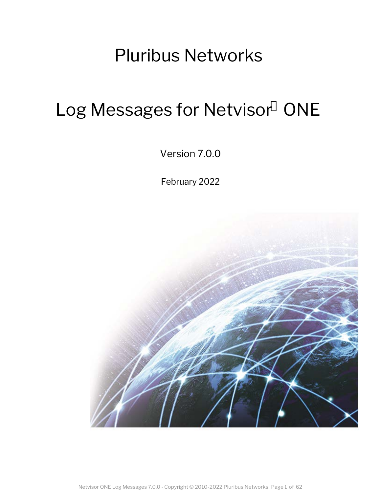# Pluribus Networks

# Log Messages for Netvisor ONE

Version 7.0.0

February 2022

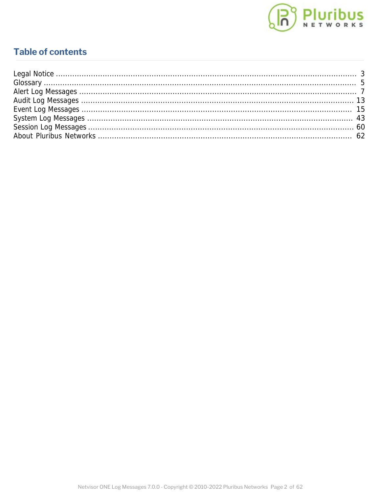

### **Table of contents**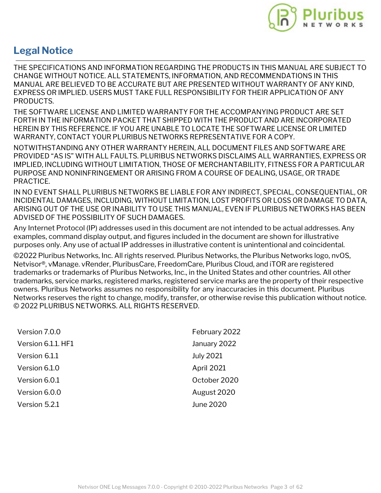

### <span id="page-2-0"></span>**Legal Notice**

THE SPECIFICATIONS AND INFORMATION REGARDING THE PRODUCTS IN [THIS MANUAL ARE SUBJECT TO](https://www.pluribusnetworks.com) CHANGE WITHOUT NOTICE. ALL STATEMENTS, INFORMATION, AND RECOMMENDATIONS IN THIS MANUAL ARE BELIEVED TO BE ACCURATE BUT ARE PRESENTED WITHOUT WARRANTY OF ANY KIND, EXPRESS OR IMPLIED. USERS MUST TAKE FULL RESPONSIBILITY FOR THEIR APPLICATION OF ANY PRODUCTS.

THE SOFTWARE LICENSE AND LIMITED WARRANTY FOR THE ACCOMPANYING PRODUCT ARE SET FORTH IN THE INFORMATION PACKET THAT SHIPPED WITH THE PRODUCT AND ARE INCORPORATED HEREIN BY THIS REFERENCE. IF YOU ARE UNABLE TO LOCATE THE SOFTWARE LICENSE OR LIMITED WARRANTY, CONTACT YOUR PLURIBUS NETWORKS REPRESENTATIVE FOR A COPY.

NOTWITHSTANDING ANY OTHER WARRANTY HEREIN, ALL DOCUMENT FILES AND SOFTWARE ARE PROVIDED "AS IS" WITH ALL FAULTS. PLURIBUS NETWORKS DISCLAIMS ALL WARRANTIES, EXPRESS OR IMPLIED, INCLUDING WITHOUT LIMITATION, THOSE OF MERCHANTABILITY, FITNESS FOR A PARTICULAR PURPOSE AND NONINFRINGEMENT OR ARISING FROM A COURSE OF DEALING, USAGE, OR TRADE PRACTICE.

IN NO EVENT SHALL PLURIBUS NETWORKS BE LIABLE FOR ANY INDIRECT, SPECIAL, CONSEQUENTIAL, OR INCIDENTAL DAMAGES, INCLUDING, WITHOUT LIMITATION, LOST PROFITS OR LOSS OR DAMAGE TO DATA, ARISING OUT OF THE USE OR INABILITY TO USE THIS MANUAL, EVEN IF PLURIBUS NETWORKS HAS BEEN ADVISED OF THE POSSIBILITY OF SUCH DAMAGES.

Any Internet Protocol (IP) addresses used in this document are not intended to be actual addresses. Any examples, command display output, and figures included in the document are shown for illustrative purposes only. Any use of actual IP addresses in illustrative content is unintentional and coincidental.

©2022 Pluribus Networks, Inc. All rights reserved. Pluribus Networks, the Pluribus Networks logo, nvOS, Netvisor®, vManage. vRender, PluribusCare, FreedomCare, Pluribus Cloud, and iTOR are registered trademarks or trademarks of Pluribus Networks, Inc., in the United States and other countries. All other trademarks, service marks, registered marks, registered service marks are the property of their respective owners. Pluribus Networks assumes no responsibility for any inaccuracies in this document. Pluribus Networks reserves the right to change, modify, transfer, or otherwise revise this publication without notice. © 2022 PLURIBUS NETWORKS. ALL RIGHTS RESERVED.

| Version 7.0.0      | February 2022    |
|--------------------|------------------|
| Version 6.1.1. HF1 | January 2022     |
| Version 6.1.1      | <b>July 2021</b> |
| Version 6.1.0      | April 2021       |
| Version 6.0.1      | October 2020     |
| Version 6.0.0      | August 2020      |
| Version 5.2.1      | <b>June 2020</b> |
|                    |                  |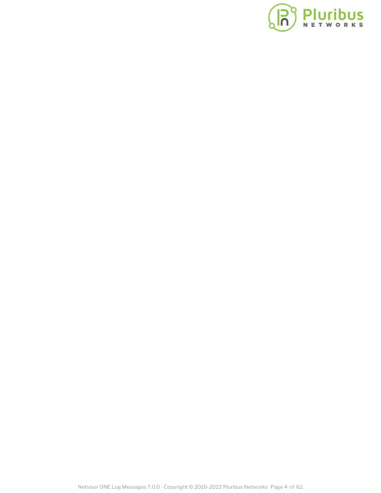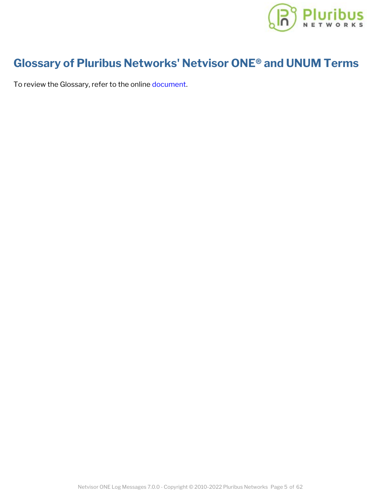

# <span id="page-4-0"></span>**Glossary of Pluribus Networks' Netvisor ONE® [and UNUM Terms](https://www.pluribusnetworks.com)**

To review the Glossary, refer to the online [document](https://techdocassets.pluribusnetworks.com/netvisor/nv1_700/Log_Messages/Glossary.html).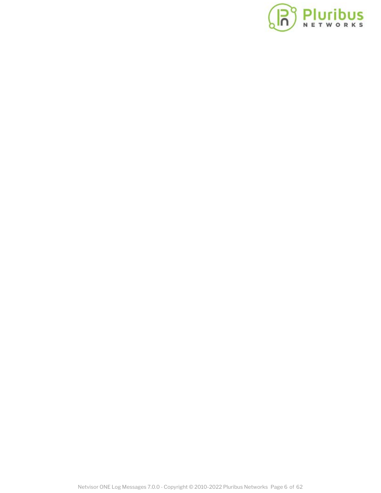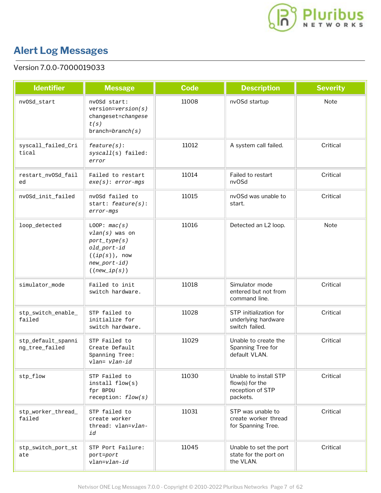

### <span id="page-6-0"></span>**Alert Log Messages**

| <b>Identifier</b>                    | <b>Message</b>                                                                                                        | <b>Code</b> | <b>Description</b>                                                       | <b>Severity</b> |  |
|--------------------------------------|-----------------------------------------------------------------------------------------------------------------------|-------------|--------------------------------------------------------------------------|-----------------|--|
| nv0Sd_start                          | nvOSd start:<br>$version=version(s)$<br>changeset=changese<br>t(s)<br>$branch=branch(s)$                              | 11008       | nvOSd startup                                                            | <b>Note</b>     |  |
| syscall_failed_Cri<br>tical          | feature(s):<br>syscall(s) failed:<br>error                                                                            | 11012       | A system call failed.                                                    | Critical        |  |
| restart_nv0Sd_fail<br>ed             | Failed to restart<br>$exc(s): error-mgs$                                                                              | 11014       | Failed to restart<br>nvOSd                                               | Critical        |  |
| nvOSd_init_failed                    | nvOSd failed to<br>start: $feature(s)$ :<br>error-mqs                                                                 | 11015       | nvOSd was unable to<br>start.                                            | Critical        |  |
| loop_detected                        | LOOP: $mac(s)$<br>$vlan(s)$ was on<br>port_type(s)<br>old_port-id<br>((ip(s)), now<br>new_port-id)<br>$((new\_ip(s))$ | 11016       | Detected an L2 loop.                                                     | <b>Note</b>     |  |
| simulator_mode                       | Failed to init<br>switch hardware.                                                                                    | 11018       | Simulator mode<br>entered but not from<br>command line.                  | Critical        |  |
| stp_switch_enable_<br>failed         | STP failed to<br>initialize for<br>switch hardware.                                                                   | 11028       | STP initialization for<br>underlying hardware<br>switch failed.          | Critical        |  |
| stp_default_spanni<br>ng_tree_failed | STP Failed to<br>Create Default<br>Spanning Tree:<br>vlan= vlan-id                                                    | 11029       | Unable to create the<br>Spanning Tree for<br>default VLAN.               | Critical        |  |
| stp_flow                             | STP Failed to<br>install flow(s)<br>fpr BPDU<br>reception: $flow(s)$                                                  | 11030       | Unable to install STP<br>flow(s) for the<br>reception of STP<br>packets. | Critical        |  |
| stp_worker_thread_<br>failed         | STP failed to<br>create worker<br>thread: vlan=vlan-<br>id                                                            | 11031       | STP was unable to<br>create worker thread<br>for Spanning Tree.          | Critical        |  |
| stp_switch_port_st<br>ate            | STP Port Failure:<br>port=port<br>vlan=vlan-id                                                                        | 11045       | Unable to set the port<br>state for the port on<br>the VLAN.             | Critical        |  |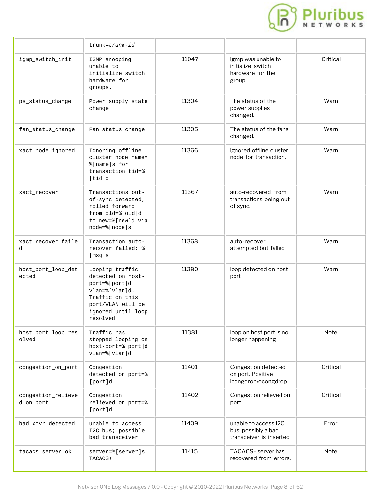

|                                 | trunk=trunk-id                                                                                                                                             |       |                                                                        |             |
|---------------------------------|------------------------------------------------------------------------------------------------------------------------------------------------------------|-------|------------------------------------------------------------------------|-------------|
| igmp_switch_init                | IGMP snooping<br>unable to<br>initialize switch<br>hardware for<br>groups.                                                                                 | 11047 | igmp was unable to<br>initialize switch<br>hardware for the<br>group.  | Critical    |
| ps_status_change                | Power supply state<br>change                                                                                                                               | 11304 | The status of the<br>power supplies<br>changed.                        | Warn        |
| fan_status_change               | Fan status change                                                                                                                                          | 11305 | The status of the fans<br>changed.                                     | Warn        |
| xact_node_ignored               | Ignoring offline<br>cluster node name=<br>%[name]s for<br>transaction tid=%<br>[tid]d                                                                      | 11366 | ignored offline cluster<br>node for transaction.                       | Warn        |
| xact_recover                    | Transactions out-<br>of-sync detected,<br>rolled forward<br>from old=%[old]d<br>to new=%[new]d via<br>node=%[node]s                                        | 11367 | auto-recovered from<br>transactions being out<br>of sync.              | Warn        |
| xact_recover_faile<br>d         | Transaction auto-<br>recover failed: %<br>[msg]s                                                                                                           | 11368 | auto-recover<br>attempted but failed                                   | Warn        |
| host_port_loop_det<br>ected     | Looping traffic<br>detected on host-<br>port=%[port]d<br>$vlan=\frac{e}{vlan}d.$<br>Traffic on this<br>port/VLAN will be<br>ignored until loop<br>resolved | 11380 | loop detected on host<br>port                                          | Warn        |
| host_port_loop_res<br>olved     | Traffic has<br>stopped looping on<br>host-port=%[port]d<br>vlan=%[vlan]d                                                                                   | 11381 | loop on host port is no<br>longer happening                            | <b>Note</b> |
| congestion_on_port              | Congestion<br>detected on port=%<br>[port]d                                                                                                                | 11401 | Congestion detected<br>on port. Positive<br>icongdrop/ocongdrop        | Critical    |
| congestion_relieve<br>d_on_port | Congestion<br>relieved on port=%<br>[port]d                                                                                                                | 11402 | Congestion relieved on<br>port.                                        | Critical    |
| bad_xcvr_detected               | unable to access<br>I2C bus; possible<br>bad transceiver                                                                                                   | 11409 | unable to access I2C<br>bus; possibly a bad<br>transceiver is inserted | Error       |
| tacacs_server_ok                | server=%[server]s<br>TACACS+                                                                                                                               | 11415 | TACACS+ server has<br>recovered from errors.                           | <b>Note</b> |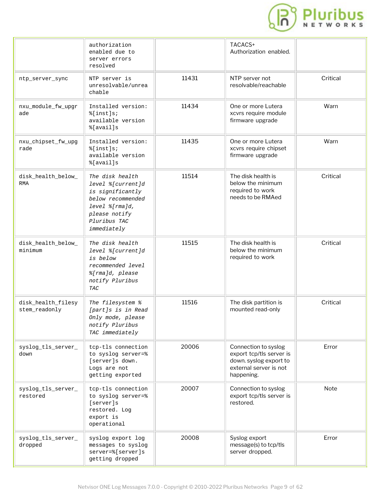

|                                     | authorization<br>enabled due to<br>server errors<br>resolved                                                                                          |       | TACACS+<br>Authorization enabled.                                                                                  |             |
|-------------------------------------|-------------------------------------------------------------------------------------------------------------------------------------------------------|-------|--------------------------------------------------------------------------------------------------------------------|-------------|
| ntp_server_sync                     | NTP server is<br>unresolvable/unrea<br>chable                                                                                                         | 11431 | NTP server not<br>resolvable/reachable                                                                             | Critical    |
| nxu_module_fw_upgr<br>ade           | Installed version:<br>$\gamma$ [inst]s;<br>available version<br>%[avail]s                                                                             | 11434 | One or more Lutera<br>xcvrs require module<br>firmware upgrade                                                     | Warn        |
| nxu_chipset_fw_upg<br>rade          | Installed version:<br>$\gamma$ [inst]s;<br>available version<br>%[avail]s                                                                             | 11435 | One or more Lutera<br>xcvrs require chipset<br>firmware upgrade                                                    | Warn        |
| disk_health_below_<br><b>RMA</b>    | The disk health<br>level %[current]d<br>is significantly<br>below recommended<br>$level$ ${[rma]}d$ ,<br>please notify<br>Pluribus TAC<br>immediately | 11514 | The disk health is<br>below the minimum<br>required to work<br>needs to be RMAed                                   | Critical    |
| disk_health_below_<br>minimum       | The disk health<br>level %[current]d<br>is below<br>recommended level<br>%[rma]d, please<br>notify Pluribus<br>TAC                                    | 11515 | The disk health is<br>below the minimum<br>required to work                                                        | Critical    |
| disk_health_filesy<br>stem_readonly | The filesystem %<br>[part]s is in Read<br>Only mode, please<br>notify Pluribus<br>TAC immediately                                                     | 11516 | The disk partition is<br>mounted read-only                                                                         | Critical    |
| syslog_tls_server_<br>down          | tcp-tls connection<br>to syslog server=%<br>[server]s down.<br>Logs are not<br>getting exported                                                       | 20006 | Connection to syslog<br>export tcp/tls server is<br>down. syslog export to<br>external server is not<br>happening. | Error       |
| syslog_tls_server_<br>restored      | tcp-tls connection<br>to syslog server=%<br>[server]s<br>restored. Log<br>export is<br>operational                                                    | 20007 | Connection to syslog<br>export tcp/tls server is<br>restored.                                                      | <b>Note</b> |
| syslog_tls_server_<br>dropped       | syslog export log<br>messages to syslog<br>server=%[server]s<br>getting dropped                                                                       | 20008 | Syslog export<br>message(s) to tcp/tls<br>server dropped.                                                          | Error       |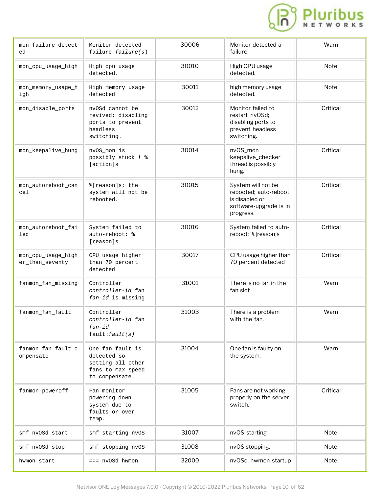

| mon_failure_detect<br>ed              | Monitor detected<br>failure $failure(s)$                                                    | 30006 | Monitor detected a<br>failure.                                                                       | Warn        |
|---------------------------------------|---------------------------------------------------------------------------------------------|-------|------------------------------------------------------------------------------------------------------|-------------|
| mon_cpu_usage_high                    | High cpu usage<br>detected.                                                                 | 30010 | High CPU usage<br>detected.                                                                          | <b>Note</b> |
| mon_memory_usage_h<br>igh             | High memory usage<br>detected                                                               | 30011 | high memory usage<br>detected.                                                                       | <b>Note</b> |
| mon_disable_ports                     | nv0Sd cannot be<br>revived; disabling<br>ports to prevent<br>headless<br>switching.         | 30012 | Monitor failed to<br>restart nvOSd:<br>disabling ports to<br>prevent headless<br>switching.          | Critical    |
| mon_keepalive_hung                    | nvOS_mon_is<br>possibly stuck ! %<br>[action]s                                              | 30014 | nvOS_mon<br>keepalive_checker<br>thread is possibly<br>hung.                                         | Critical    |
| mon_autoreboot_can<br>cel             | %[reason]s; the<br>system will not be<br>rebooted.                                          | 30015 | System will not be<br>rebooted; auto-reboot<br>is disabled or<br>software-upgrade is in<br>progress. | Critical    |
| mon_autoreboot_fai<br>led             | System failed to<br>auto-reboot: %<br>[reason]s                                             | 30016 | System failed to auto-<br>reboot: %[reason]s                                                         | Critical    |
| mon_cpu_usage_high<br>er_than_seventy | CPU usage higher<br>than 70 percent<br>detected                                             | 30017 | CPU usage higher than<br>70 percent detected                                                         | Critical    |
| fanmon_fan_missing                    | Controller<br>controller-id fan<br>fan-id is missing                                        | 31001 | There is no fan in the<br>fan slot                                                                   | Warn        |
| fanmon_fan_fault                      | Controller<br>controller-id fan<br>fan-id<br>fault: fault(s)                                | 31003 | There is a problem<br>with the fan.                                                                  | Warn        |
| fanmon_fan_fault_c<br>ompensate       | One fan fault is<br>detected so<br>setting all other<br>fans to max speed<br>to compensate. | 31004 | One fan is faulty on<br>the system.                                                                  | Warn        |
| fanmon_poweroff                       | Fan monitor<br>powering down<br>system due to<br>faults or over<br>temp.                    | 31005 | Fans are not working<br>properly on the server-<br>switch.                                           | Critical    |
| smf_nvOSd_start                       | smf starting nvOS                                                                           | 31007 | nvOS starting                                                                                        | <b>Note</b> |
| smf_nvOSd_stop                        | smf stopping nvOS                                                                           | 31008 | nvOS stopping.                                                                                       | <b>Note</b> |
| hwmon_start                           | $== nvoSd$ hwmon                                                                            | 32000 | nvOSd_hwmon startup                                                                                  | Note        |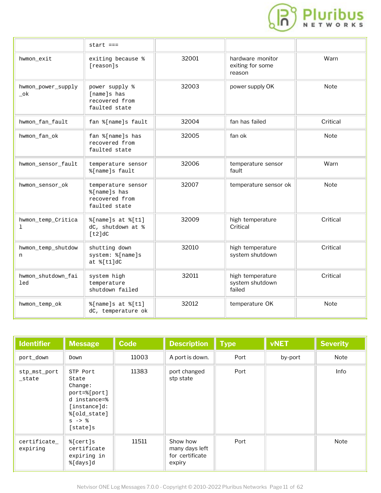

|                                    | $start ==$                                                            |       |                                                |             |
|------------------------------------|-----------------------------------------------------------------------|-------|------------------------------------------------|-------------|
| hwmon_exit                         | exiting because %<br><i>[reason]s</i>                                 | 32001 | hardware monitor<br>exiting for some<br>reason | Warn        |
| hwmon_power_supply<br>$_{\rm ok}$  | power supply %<br>[name]s has<br>recovered from<br>faulted state      | 32003 | power supply OK                                | Note        |
| hwmon_fan_fault                    | fan %[name]s fault                                                    | 32004 | fan has failed                                 | Critical    |
| hwmon_fan_ok                       | fan %[name]s has<br>recovered from<br>faulted state                   | 32005 | fan ok                                         | <b>Note</b> |
| hwmon_sensor_fault                 | temperature sensor<br>%[name]s fault                                  | 32006 | temperature sensor<br>fault                    | Warn        |
| hwmon_sensor_ok                    | temperature sensor<br>%[name]s has<br>recovered from<br>faulted state | 32007 | temperature sensor ok                          | <b>Note</b> |
| hwmon_temp_Critica<br>$\mathbf{1}$ | $[\text{name}]$ s at $[\text{tl}]$<br>dC, shutdown at %<br>[t2]dC     | 32009 | high temperature<br>Critical                   | Critical    |
| hwmon_temp_shutdow<br>n            | shutting down<br>system: %[name]s<br>at %[t1]dC                       | 32010 | high temperature<br>system shutdown            | Critical    |
| hwmon_shutdown_fai<br>led          | system high<br>temperature<br>shutdown failed                         | 32011 | high temperature<br>system shutdown<br>failed  | Critical    |
| hwmon_temp_ok                      | %[name]s at %[t1]<br>dC, temperature ok                               | 32012 | temperature OK                                 | <b>Note</b> |

| <b>Identifier</b>        | <b>Message</b>                                                                                                                                 | <b>Code</b> | <b>Description</b>                                      | <b>Type</b> | <b>vNET</b> | <b>Severity</b> |
|--------------------------|------------------------------------------------------------------------------------------------------------------------------------------------|-------------|---------------------------------------------------------|-------------|-------------|-----------------|
| port_down                | Down                                                                                                                                           | 11003       | A port is down.                                         | Port        | by-port     | Note            |
| stp_mst_port<br>_state   | STP Port<br>State<br>Change:<br>port=%[port]<br>d instance=%<br>$[$ instance $]$ d:<br>%[old_state]<br>$s \rightarrow \frac{9}{6}$<br>[state]s | 11383       | port changed<br>stp state                               | Port        |             | Info            |
| certificate_<br>expiring | %[cert]s<br>certificate<br>expiring in<br>%[days]d                                                                                             | 11511       | Show how<br>many days left<br>for certificate<br>expiry | Port        |             | Note            |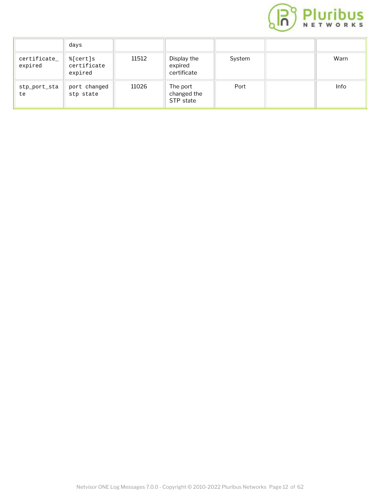

|                         | days                               |       |                                       |        |      |
|-------------------------|------------------------------------|-------|---------------------------------------|--------|------|
| certificate_<br>expired | %[cert]s<br>certificate<br>expired | 11512 | Display the<br>expired<br>certificate | System | Warn |
| stp_port_sta<br>te      | port changed<br>stp state          | 11026 | The port<br>changed the<br>STP state  | Port   | Info |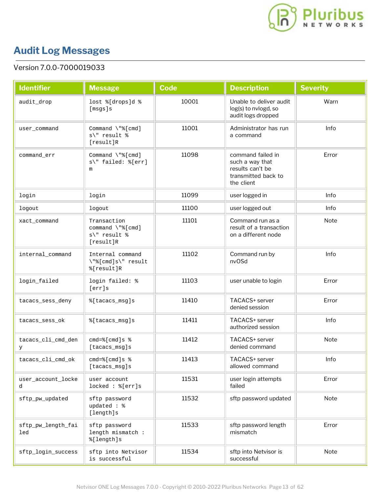

### <span id="page-12-0"></span>**Audit Log Messages**

| <b>Identifier</b>         | <b>Message</b>                                               | <b>Code</b> | <b>Description</b>                                                                            | <b>Severity</b> |
|---------------------------|--------------------------------------------------------------|-------------|-----------------------------------------------------------------------------------------------|-----------------|
| audit_drop                | lost %[drops]d %<br>$[msgs]$ s                               | 10001       | Unable to deliver audit<br>log(s) to nvlogd, so<br>audit logs dropped                         | Warn            |
| user_command              | Command \"%[cmd]<br>s\" result %<br>[result]R                | 11001       | Administrator has run<br>a command                                                            | Info            |
| command_err               | Command $\forall$ "% [cmd]<br>s\" failed: %[err]<br>m        | 11098       | command failed in<br>such a way that<br>results can't be<br>transmitted back to<br>the client | Error           |
| login                     | login                                                        | 11099       | user logged in                                                                                | Info            |
| logout                    | logout                                                       | 11100       | user logged out                                                                               | Info            |
| xact_command              | Transaction<br>command \"%[cmd]<br>s\" result %<br>[result]R | 11101       | Command run as a<br>result of a transaction<br>on a different node                            | <b>Note</b>     |
| internal_command          | Internal command<br>\"%[cmd]s\" result<br>%[result]R         | 11102       | Command run by<br>nvOSd                                                                       | Info            |
| login_failed              | login failed: %<br>[err]s                                    | 11103       | user unable to login                                                                          | Error           |
| tacacs_sess_deny          | %[tacacs_msg]s                                               | 11410       | TACACS+ server<br>denied session                                                              | Error           |
| tacacs_sess_ok            | %[tacacs_msg]s                                               | 11411       | TACACS+ server<br>authorized session                                                          | Info            |
| tacacs_cli_cmd_den<br>У   | $cmd=\$ [ $cmd$ ] $s$ $%$<br>[tacacs_msg]s                   | 11412       | TACACS+ server<br>denied command                                                              | Note            |
| tacacs_cli_cmd_ok         | $cmd=\$ [ $cmd$ ] $s$ $%$<br>[tacacs_msg]s                   | 11413       | TACACS+ server<br>allowed command                                                             | Info            |
| user_account_locke<br>d   | user account<br>locked : %[err]s                             | 11531       | user login attempts<br>failed                                                                 | Error           |
| sftp_pw_updated           | sftp password<br>updated : %<br>[length]s                    | 11532       | sftp password updated                                                                         | Note            |
| sftp_pw_length_fai<br>led | sftp password<br>length mismatch :<br>%[length]s             | 11533       | sftp password length<br>mismatch                                                              | Error           |
| sftp_login_success        | sftp into Netvisor<br>is successful                          | 11534       | sftp into Netvisor is<br>successful                                                           | Note            |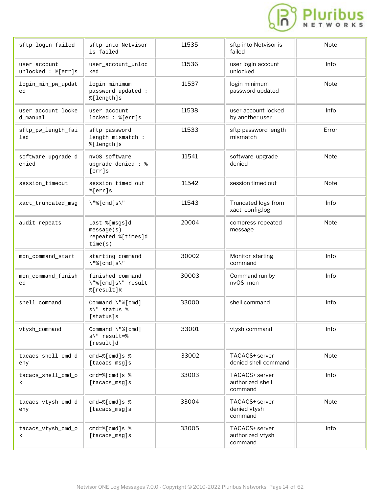

| sftp_login_failed                 | sftp into Netvisor<br>is failed                              | 11535 | sftp into Netvisor is<br>failed               | Note        |
|-----------------------------------|--------------------------------------------------------------|-------|-----------------------------------------------|-------------|
| user account<br>unlocked: %[err]s | user_account_unloc<br>ked                                    | 11536 | user login account<br>unlocked                | Info        |
| login_min_pw_updat<br>ed          | login minimum<br>password updated :<br>%[length]s            | 11537 | login minimum<br>password updated             | <b>Note</b> |
| user_account_locke<br>d_manual    | user account<br>$locked : [err] s$                           | 11538 | user account locked<br>by another user        | Info        |
| sftp_pw_length_fai<br>led         | sftp password<br>length mismatch :<br>%[length]s             | 11533 | sftp password length<br>mismatch              | Error       |
| software_upgrade_d<br>enied       | nvOS software<br>upgrade denied : %<br>[err]s                | 11541 | software upgrade<br>denied                    | <b>Note</b> |
| session_timeout                   | session timed out<br>%[err]s                                 | 11542 | session timed out                             | <b>Note</b> |
| xact_truncated_msg                | $\backslash$ "%[cmd]s $\backslash$ "                         | 11543 | Truncated logs from<br>xact_config.log        | Info        |
| audit_repeats                     | Last %[msgs]d<br>message(s)<br>repeated %[times]d<br>time(s) | 20004 | compress repeated<br>message                  | <b>Note</b> |
| mon_command_start                 | starting command<br>$\backslash$ "%[cmd]s $\backslash$ "     | 30002 | Monitor starting<br>command                   | Info        |
| mon_command_finish<br>ed          | finished command<br>\"%[cmd]s\" result<br>%[result]R         | 30003 | Command run by<br>nvOS_mon                    | Info        |
| shell_command                     | Command $\forall$ "% [cmd]<br>s\" status %<br>[status]s      | 33000 | shell command                                 | Info        |
| vtysh_command                     | Command $\forall$ " $\{cmd\}$<br>$s\$ result=%<br>[result]d  | 33001 | vtysh command                                 | Info        |
| tacacs_shell_cmd_d<br>eny         | $cmd=\$ {cmd}s;<br>[tacacs_msg]s                             | 33002 | TACACS+ server<br>denied shell command        | Note        |
| tacacs_shell_cmd_o<br>k           | $cmd=\$ {cmd}s;<br>[tacacs_msg]s                             | 33003 | TACACS+ server<br>authorized shell<br>command | Info        |
| tacacs_vtysh_cmd_d<br>eny         | $cmd=\$ [ $cmd$ ] $s$ $%$<br>[tacacs_msg]s                   | 33004 | TACACS+ server<br>denied vtysh<br>command     | <b>Note</b> |
| tacacs_vtysh_cmd_o<br>k           | $cmd=\$ {cmd}s;<br>[tacacs_msg]s                             | 33005 | TACACS+ server<br>authorized vtysh<br>command | Info        |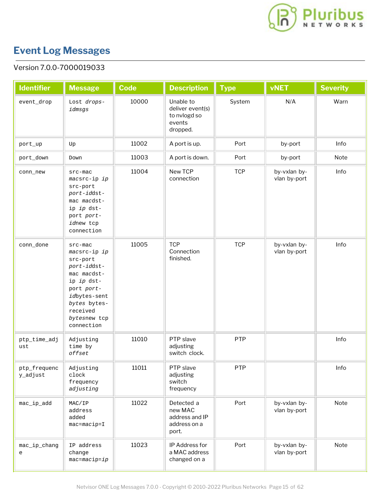

### <span id="page-14-0"></span>**Event Log Messages**

| <b>Identifier</b>                                 | <b>Message</b>                                                                                                                                                          | <b>Code</b> | <b>Description</b>                                                  | <b>Type</b> | <b>vNET</b>                  | <b>Severity</b> |
|---------------------------------------------------|-------------------------------------------------------------------------------------------------------------------------------------------------------------------------|-------------|---------------------------------------------------------------------|-------------|------------------------------|-----------------|
| event_drop                                        | Lost drops-<br>idmsgs                                                                                                                                                   | 10000       | Unable to<br>deliver event(s)<br>to nvlogd so<br>events<br>dropped. | System      | N/A                          | Warn            |
| port_up                                           | Up                                                                                                                                                                      | 11002       | A port is up.                                                       | Port        | by-port                      | Info            |
| port_down                                         | Down                                                                                                                                                                    | 11003       | A port is down.                                                     | Port        | by-port                      | Note            |
| conn_new                                          | $src$ -mac<br>macsrc-ip ip<br>src-port<br>port-iddst-<br>mac macdst-<br>ip ip dst-<br>port port-<br>idnew tcp<br>connection                                             | 11004       | New TCP<br>connection                                               | <b>TCP</b>  | by-vxlan by-<br>vlan by-port | Info            |
| conn_done                                         | src-mac<br>macsrc-ip ip<br>src-port<br>port-iddst-<br>mac macdst-<br>ip ip dst-<br>port port-<br>idbytes-sent<br>bytes bytes-<br>received<br>bytesnew tcp<br>connection | 11005       | <b>TCP</b><br>Connection<br>finished.                               | <b>TCP</b>  | by-vxlan by-<br>vlan by-port | Info            |
| ptp_time_adj<br>ust                               | Adjusting<br>time by<br>offset                                                                                                                                          | 11010       | PTP slave<br>adjusting<br>switch clock.                             | PTP         |                              | Info            |
| ptp_frequenc<br>y_adjust                          | Adjusting<br>clock<br>frequency<br>adjusting                                                                                                                            | 11011       | PTP slave<br>adjusting<br>switch<br>frequency                       | PTP         |                              | Info            |
| mac_ip_add                                        | MAC/IP<br>address<br>added<br>$mac = macip = I$                                                                                                                         | 11022       | Detected a<br>new MAC<br>address and IP<br>address on a<br>port.    | Port        | by-vxlan by-<br>vlan by-port | Note            |
| mac_ip_chang<br>$\mathsf{e}% _{t}\left( t\right)$ | IP address<br>change<br>$mac = macip = ip$                                                                                                                              | 11023       | IP Address for<br>a MAC address<br>changed on a                     | Port        | by-vxlan by-<br>vlan by-port | Note            |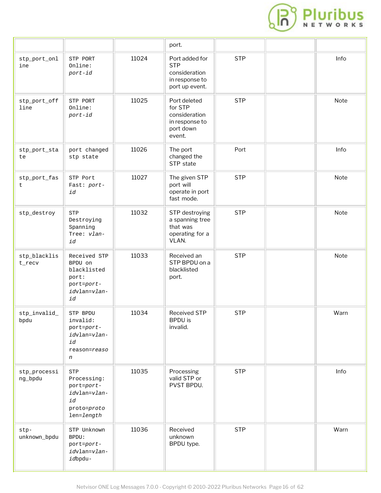

|                         |                                                                                                      |       | port.                                                                             |            |      |
|-------------------------|------------------------------------------------------------------------------------------------------|-------|-----------------------------------------------------------------------------------|------------|------|
| stp_port_onl<br>ine     | STP PORT<br>Online:<br>port-id                                                                       | 11024 | Port added for<br><b>STP</b><br>consideration<br>in response to<br>port up event. | <b>STP</b> | Info |
| stp_port_off<br>line    | STP PORT<br>Online:<br>port-id                                                                       | 11025 | Port deleted<br>for STP<br>consideration<br>in response to<br>port down<br>event. | <b>STP</b> | Note |
| stp_port_sta<br>te      | port changed<br>stp state                                                                            | 11026 | The port<br>changed the<br>STP state                                              | Port       | Info |
| stp_port_fas<br>t       | STP Port<br>Fast: port-<br>id                                                                        | 11027 | The given STP<br>port will<br>operate in port<br>fast mode.                       | <b>STP</b> | Note |
| stp_destroy             | <b>STP</b><br>Destroying<br>Spanning<br>Tree: vlan-<br>id                                            | 11032 | STP destroying<br>a spanning tree<br>that was<br>operating for a<br>VLAN.         | <b>STP</b> | Note |
| stp_blacklis<br>t_recv  | Received STP<br>BPDU on<br>blacklisted<br>port:<br>port=port-<br>idvlan=vlan-<br>id                  | 11033 | Received an<br>STP BPDU on a<br>blacklisted<br>port.                              | <b>STP</b> | Note |
| stp_invalid_<br>bpdu    | STP BPDU<br>invalid:<br>port=port-<br>idvlan=vlan-<br>id<br>reason=reaso<br>n                        | 11034 | <b>Received STP</b><br>BPDU is<br>invalid.                                        | <b>STP</b> | Warn |
| stp_processi<br>ng_bpdu | $\operatorname{STP}$<br>Processing:<br>port=port-<br>idvlan=vlan-<br>id<br>proto=proto<br>len=length | 11035 | Processing<br>valid STP or<br>PVST BPDU.                                          | <b>STP</b> | Info |
| stp-<br>unknown_bpdu    | STP Unknown<br>BPDU:<br>port=port-<br>idvlan=vlan-<br>idbpdu-                                        | 11036 | Received<br>unknown<br>BPDU type.                                                 | <b>STP</b> | Warn |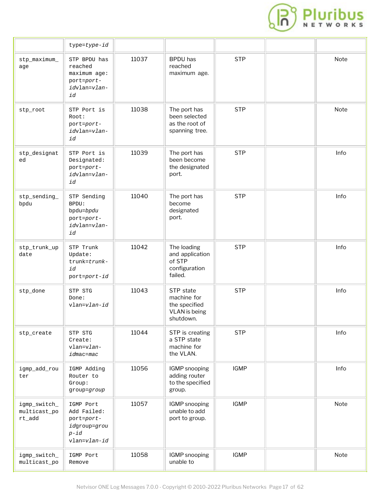

|                                        | type=type-id                                                                      |       |                                                                                |             |             |
|----------------------------------------|-----------------------------------------------------------------------------------|-------|--------------------------------------------------------------------------------|-------------|-------------|
| stp_maximum_<br>age                    | STP BPDU has<br>reached<br>maximum age:<br>port=port-<br>idvlan=vlan-<br>id       | 11037 | <b>BPDU</b> has<br>reached<br>maximum age.                                     | <b>STP</b>  | Note        |
| stp_root                               | STP Port is<br>Root:<br>port=port-<br>idvlan=vlan-<br>id                          | 11038 | The port has<br>been selected<br>as the root of<br>spanning tree.              | <b>STP</b>  | <b>Note</b> |
| stp_designat<br>ed                     | STP Port is<br>Designated:<br>port=port-<br>idvlan=vlan-<br>id                    | 11039 | The port has<br>been become<br>the designated<br>port.                         | <b>STP</b>  | Info        |
| stp_sending_<br>bpdu                   | STP Sending<br>BPDU:<br>bpdu=bpdu<br>port=port-<br>idvlan=vlan-<br>id             | 11040 | The port has<br>become<br>designated<br>port.                                  | <b>STP</b>  | Info        |
| stp_trunk_up<br>date                   | STP Trunk<br>Update:<br>trunk=trunk-<br>id<br>port=port-id                        | 11042 | The loading<br>and application<br>of STP<br>configuration<br>failed.           | <b>STP</b>  | Info        |
| stp_done                               | STP STG<br>Done:<br>vlan=vlan-id                                                  | 11043 | STP state<br>machine for<br>the specified<br><b>VLAN</b> is being<br>shutdown. | <b>STP</b>  | Info        |
| stp_create                             | STP STG<br>Create:<br>vlan=vlan-<br>idmac=mac                                     | 11044 | STP is creating<br>a STP state<br>machine for<br>the VLAN.                     | <b>STP</b>  | Info        |
| igmp_add_rou<br>ter                    | IGMP Adding<br>Router to<br>Group:<br>group=group                                 | 11056 | IGMP snooping<br>adding router<br>to the specified<br>group.                   | <b>IGMP</b> | Info        |
| igmp_switch_<br>multicast_po<br>rt_add | IGMP Port<br>Add Failed:<br>port=port-<br>idgroup=grou<br>$p$ -id<br>vlan=vlan-id | 11057 | IGMP snooping<br>unable to add<br>port to group.                               | <b>IGMP</b> | Note        |
| igmp_switch_<br>multicast_po           | IGMP Port<br>Remove                                                               | 11058 | IGMP snooping<br>unable to                                                     | <b>IGMP</b> | Note        |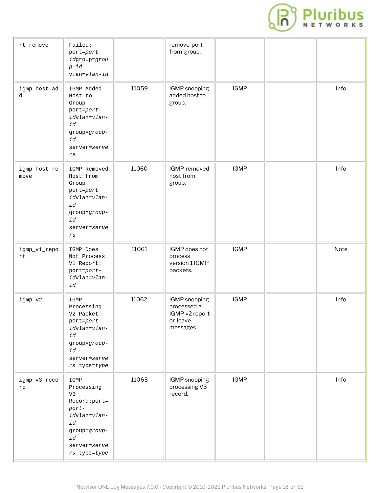

| rt_remove            | Failed:<br>port=port-<br>idgroup=grou<br>$p$ -id<br>vlan=vlan-id                                                               |       | remove port<br>from group.                                              |             |      |
|----------------------|--------------------------------------------------------------------------------------------------------------------------------|-------|-------------------------------------------------------------------------|-------------|------|
| igmp_host_ad<br>d    | IGMP Added<br>Host to<br>Group:<br>port=port-<br>idvlan=vlan-<br>id<br>group=group-<br>id<br>server=serve<br>$\mathit{rs}$     | 11059 | IGMP snooping<br>added host to<br>group.                                | <b>IGMP</b> | Info |
| igmp_host_re<br>move | IGMP Removed<br>Host from<br>Group:<br>port=port-<br>idvlan=vlan-<br>id<br>group=group-<br>id<br>server=serve<br>$\mathit{rs}$ | 11060 | IGMP removed<br>host from<br>group.                                     | <b>IGMP</b> | Info |
| igmp_v1_repo<br>rt   | IGMP Does<br>Not Process<br>V1 Report:<br>port=port-<br>idvlan=vlan-<br>id                                                     | 11061 | IGMP does not<br>process<br>version 1 IGMP<br>packets.                  | <b>IGMP</b> | Note |
| igmp_v2              | IGMP<br>Processing<br>V2 Packet:<br>port=port-<br>idvlan=vlan-<br>id<br>group=group-<br>id<br>server=serve<br>rs type=type     | 11062 | IGMP snooping<br>processed a<br>IGMP v2 report<br>or leave<br>messages. | <b>IGMP</b> | Info |
| igmp_v3_reco<br>rd   | IGMP<br>Processing<br>V3<br>Record: port=<br>port-<br>idvlan=vlan-<br>id<br>group=group-<br>id<br>server=serve<br>rs type=type | 11063 | IGMP snooping<br>processing V3<br>record.                               | <b>IGMP</b> | Info |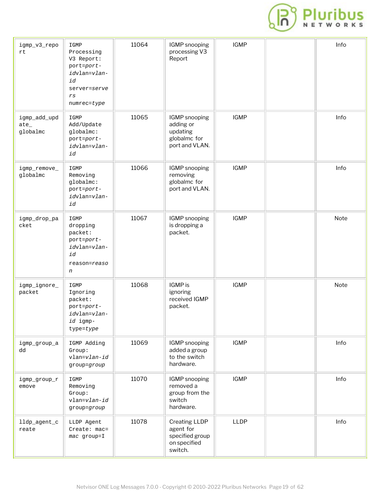

| igmp_v3_repo<br>$\mathtt{rt}$         | IGMP<br>Processing<br>V3 Report:<br>port=port-<br>idvlan=vlan-<br>id<br>server=serve<br>$r\mathrm{s}$<br>$numrec = type$ | 11064 | IGMP snooping<br>processing V3<br>Report                                 | <b>IGMP</b> | Info |
|---------------------------------------|--------------------------------------------------------------------------------------------------------------------------|-------|--------------------------------------------------------------------------|-------------|------|
| igmp_add_upd<br>$ate_{-}$<br>globalmc | IGMP<br>Add/Update<br>globalmc:<br>port=port-<br>idvlan=vlan-<br>id                                                      | 11065 | IGMP snooping<br>adding or<br>updating<br>globalmc for<br>port and VLAN. | <b>IGMP</b> | Info |
| igmp_remove_<br>globalmc              | IGMP<br>Removing<br>globalmc:<br>port=port-<br>idvlan=vlan-<br>id                                                        | 11066 | IGMP snooping<br>removing<br>globalmc for<br>port and VLAN.              | <b>IGMP</b> | Info |
| igmp_drop_pa<br>cket                  | IGMP<br>dropping<br>packet:<br>port=port-<br>idvlan=vlan-<br>id<br>reason=reaso<br>n                                     | 11067 | IGMP snooping<br>is dropping a<br>packet.                                | <b>IGMP</b> | Note |
| igmp_ignore_<br>packet                | IGMP<br>Ignoring<br>packet:<br>port=port-<br>idvlan=vlan-<br>id igmp-<br>type=type                                       | 11068 | <b>IGMP</b> is<br>ignoring<br>received IGMP<br>packet.                   | <b>IGMP</b> | Note |
| igmp_group_a<br>dd                    | IGMP Adding<br>Group:<br>vlan=vlan-id<br>group=group                                                                     | 11069 | IGMP snooping<br>added a group<br>to the switch<br>hardware.             | <b>IGMP</b> | Info |
| igmp_group_r<br>emove                 | IGMP<br>Removing<br>Group:<br>vlan=vlan-id<br>$group=group$                                                              | 11070 | IGMP snooping<br>removed a<br>group from the<br>switch<br>hardware.      | <b>IGMP</b> | Info |
| lldp_agent_c<br>reate                 | LLDP Agent<br>Create: mac=<br>mac group=I                                                                                | 11078 | Creating LLDP<br>agent for<br>specified group<br>on specified<br>switch. | <b>LLDP</b> | Info |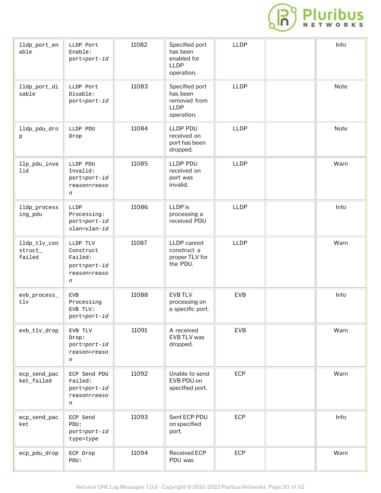

| lldp_port_en<br>able             | LLDP Port<br>Enable:<br>port=port-id                                  | 11082 | Specified port<br>has been<br>enabled for<br><b>LLDP</b><br>operation.  | LLDP        | Info |
|----------------------------------|-----------------------------------------------------------------------|-------|-------------------------------------------------------------------------|-------------|------|
| lldp_port_di<br>sable            | LLDP Port<br>Disable:<br>port=port-id                                 | 11083 | Specified port<br>has been<br>removed from<br><b>LLDP</b><br>operation. | <b>LLDP</b> | Note |
| lldp_pdu_dro<br>p                | LLDP PDU<br>Drop                                                      | 11084 | <b>LLDP PDU</b><br>received on<br>port has been<br>dropped.             | <b>LLDP</b> | Note |
| llp_pdu_inva<br>lid              | LLDP PDU<br>Invalid:<br>port=port-id<br>reason=reaso<br>n             | 11085 | <b>LLDP PDU</b><br>received on<br>port was<br>invalid.                  | <b>LLDP</b> | Warn |
| lldp_process<br>ing_pdu          | LLDP<br>Processing:<br>port=port-id<br>vlan=vlan-id                   | 11086 | LLDP is<br>processing a<br>received PDU                                 | <b>LLDP</b> | Info |
| lldp_tlv_con<br>struct<br>failed | LLDP TLV<br>Construct<br>Failed:<br>port=port-id<br>reason=reaso<br>n | 11087 | LLDP cannot<br>construct a<br>proper TLV for<br>the PDU.                | <b>LLDP</b> | Warn |
| evb_process_<br>tlv              | <b>EVB</b><br>Processing<br>EVB TLV:<br>port=port-id                  | 11088 | <b>EVB TLV</b><br>processing on<br>a specific port.                     | <b>EVB</b>  | Info |
| evb_tlv_drop                     | EVB TLV<br>Drop:<br>port=port-id<br>reason=reaso<br>n                 | 11091 | A received<br>EVB TLV was<br>dropped.                                   | <b>EVB</b>  | Warn |
| ecp_send_pac<br>ket_failed       | ECP Send PDU<br>Failed:<br>port=port-id<br>reason=reaso<br>n          | 11092 | Unable to send<br>EVB PDU on<br>specified port.                         | ECP         | Warn |
| ecp_send_pac<br>ket              | ECP Send<br>PDU:<br>port=port-id<br>type=type                         | 11093 | Sent ECP PDU<br>on specified<br>port.                                   | ECP         | Info |
| ecp_pdu_drop                     | ECP Drop<br>PDU:                                                      | 11094 | Received ECP<br>PDU was                                                 | ECP         | Warn |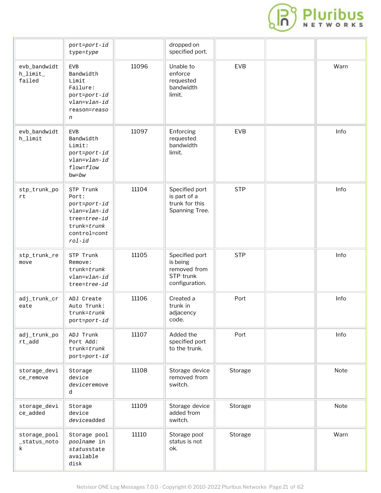

|                                       | port=port-id<br>type=type                                                                                       |       | dropped on<br>specified port.                                             |            |      |
|---------------------------------------|-----------------------------------------------------------------------------------------------------------------|-------|---------------------------------------------------------------------------|------------|------|
| evb_bandwidt<br>$h$ _limit_<br>failed | <b>EVB</b><br>Bandwidth<br>Limit<br>Failure:<br>port=port-id<br>vlan=vlan-id<br>reason=reaso<br>n               | 11096 | Unable to<br>enforce<br>requested<br>bandwidth<br>limit.                  | <b>EVB</b> | Warn |
| evb_bandwidt<br>h_limit               | <b>EVB</b><br>Bandwidth<br>Limit:<br>port=port-id<br>$vlan=vlan-id$<br>$flow = flow$<br>$bw = bw$               | 11097 | Enforcing<br>requested<br>bandwidth<br>limit.                             | <b>EVB</b> | Info |
| stp_trunk_po<br>rt                    | STP Trunk<br>Port:<br>port=port-id<br>vlan=vlan-id<br>tree=tree-id<br>$trunk = trunk$<br>control=cont<br>rol-id | 11104 | Specified port<br>is part of a<br>trunk for this<br>Spanning Tree.        | <b>STP</b> | Info |
| stp_trunk_re<br>move                  | STP Trunk<br>Remove:<br>trunk=trunk<br>vlan=vlan-id<br>tree=tree-id                                             | 11105 | Specified port<br>is being<br>removed from<br>STP trunk<br>configuration. | <b>STP</b> | Info |
| adj_trunk_cr<br>eate                  | ADJ Create<br>Auto Trunk:<br>$trunk = trunk$<br>port=port-id                                                    | 11106 | Created a<br>trunk in<br>adjacency<br>code.                               | Port       | Info |
| adj_trunk_po<br>rt_add                | ADJ Trunk<br>Port Add:<br>$trunk = trunk$<br>port=port-id                                                       | 11107 | Added the<br>specified port<br>to the trunk.                              | Port       | Info |
| storage_devi<br>ce_remove             | Storage<br>device<br>deviceremove<br>d                                                                          | 11108 | Storage device<br>removed from<br>switch.                                 | Storage    | Note |
| storage_devi<br>ce_added              | Storage<br>device<br>deviceadded                                                                                | 11109 | Storage device<br>added from<br>switch.                                   | Storage    | Note |
| storage_pool<br>_status_noto<br>k     | Storage pool<br>poolname in<br>statusstate<br>available<br>disk                                                 | 11110 | Storage pool<br>status is not<br>ok.                                      | Storage    | Warn |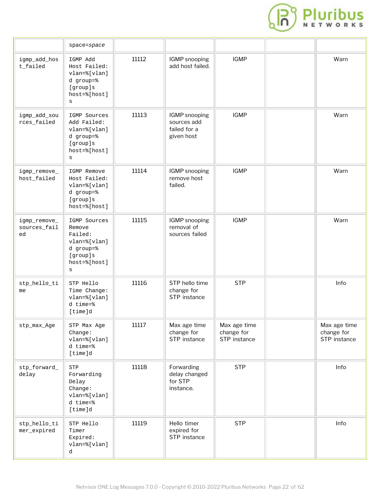

|                                    | space=space                                                                                                |       |                                                            |                                            |                                            |
|------------------------------------|------------------------------------------------------------------------------------------------------------|-------|------------------------------------------------------------|--------------------------------------------|--------------------------------------------|
| igmp_add_hos<br>t_failed           | IGMP Add<br>Host Failed:<br>vlan=%[vlan]<br>d group=%<br>[group]s<br>host=%[host]<br>$\mathtt{s}$          | 11112 | IGMP snooping<br>add host failed.                          | <b>IGMP</b>                                | Warn                                       |
| igmp_add_sou<br>rces_failed        | IGMP Sources<br>Add Failed:<br>vlan=%[vlan]<br>d group=%<br>[group]s<br>host=%[host]<br>$\mathtt{s}$       | 11113 | IGMP snooping<br>sources add<br>failed for a<br>given host | <b>IGMP</b>                                | Warn                                       |
| igmp_remove_<br>host_failed        | IGMP Remove<br>Host Failed:<br>vlan=%[vlan]<br>d group=%<br>[group]s<br>host=%[host]                       | 11114 | IGMP snooping<br>remove host<br>failed.                    | <b>IGMP</b>                                | Warn                                       |
| igmp_remove_<br>sources_fail<br>ed | IGMP Sources<br>Remove<br>Failed:<br>vlan=%[vlan]<br>d group=%<br>[group]s<br>host=%[host]<br>$\mathtt{s}$ | 11115 | IGMP snooping<br>removal of<br>sources failed              | <b>IGMP</b>                                | Warn                                       |
| stp_hello_ti<br>me                 | STP Hello<br>Time Change:<br>vlan=%[vlan]<br>d time=%<br>[time]d                                           | 11116 | STP hello time<br>change for<br>STP instance               | <b>STP</b>                                 | Info                                       |
| stp_max_Age                        | STP Max Age<br>Change:<br>vlan=%[vlan]<br>d time=%<br>[time]d                                              | 11117 | Max age time<br>change for<br>STP instance                 | Max age time<br>change for<br>STP instance | Max age time<br>change for<br>STP instance |
| stp_forward_<br>delay              | STP<br>Forwarding<br>Delay<br>Change:<br>vlan=%[vlan]<br>d time=%<br>[time]d                               | 11118 | Forwarding<br>delay changed<br>for STP<br>instance.        | <b>STP</b>                                 | Info                                       |
| stp_hello_ti<br>mer_expired        | STP Hello<br>Timer<br>Expired:<br>vlan=%[vlan]<br>d                                                        | 11119 | Hello timer<br>expired for<br>STP instance                 | <b>STP</b>                                 | Info                                       |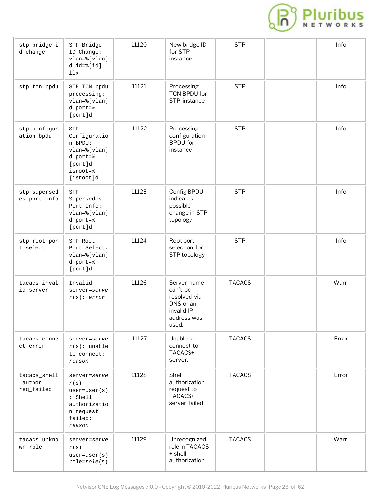

| stp_bridge_i<br>d_change               | STP Bridge<br>ID Change:<br>vlan=%[vlan]<br>d id=%[id]<br>11x                                         | 11120 | New bridge ID<br>for STP<br>instance                                                       | <b>STP</b>    | Info  |
|----------------------------------------|-------------------------------------------------------------------------------------------------------|-------|--------------------------------------------------------------------------------------------|---------------|-------|
| stp_tcn_bpdu                           | STP TCN bpdu<br>processing:<br>vlan=%[vlan]<br>d port=%<br>[port]d                                    | 11121 | Processing<br><b>TCN BPDU for</b><br>STP instance                                          | <b>STP</b>    | Info  |
| stp_configur<br>ation_bpdu             | <b>STP</b><br>Configuratio<br>n BPDU:<br>vlan=%[vlan]<br>d port=%<br>[port]d<br>isroot=%<br>[isroot]d | 11122 | Processing<br>configuration<br><b>BPDU</b> for<br>instance                                 | <b>STP</b>    | Info  |
| stp_supersed<br>es_port_info           | <b>STP</b><br>Supersedes<br>Port Info:<br>vlan=%[vlan]<br>d port=%<br>[port]d                         | 11123 | Config BPDU<br>indicates<br>possible<br>change in STP<br>topology                          | <b>STP</b>    | Info  |
| stp_root_por<br>t_select               | STP Root<br>Port Select:<br>vlan=%[vlan]<br>d port=%<br>[port]d                                       | 11124 | Root port<br>selection for<br>STP topology                                                 | <b>STP</b>    | Info  |
| tacacs_inval<br>id_server              | Invalid<br>server=serve<br>$r(s)$ : error                                                             | 11126 | Server name<br>can't be<br>resolved via<br>DNS or an<br>invalid IP<br>address was<br>used. | <b>TACACS</b> | Warn  |
| tacacs_conne<br>ct_error               | server=serve<br>$r(s)$ : unable<br>to connect:<br>reason                                              | 11127 | Unable to<br>connect to<br>TACACS+<br>server.                                              | <b>TACACS</b> | Error |
| tacacs_shell<br>_author_<br>req_failed | server=serve<br>r(s)<br>$user=user(s)$<br>: Shell<br>authorizatio<br>n request<br>failed:<br>reason   | 11128 | Shell<br>authorization<br>request to<br>TACACS+<br>server failed                           | <b>TACACS</b> | Error |
| tacacs_unkno<br>wn_role                | server=serve<br>r(s)<br>$user-user(s)$<br>$role=role(s)$                                              | 11129 | Unrecognized<br>role in TACACS<br>+ shell<br>authorization                                 | <b>TACACS</b> | Warn  |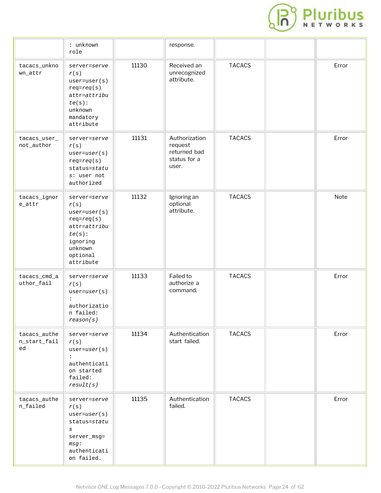

|                                    | : unknown<br>role                                                                                                                  |       | response.                                                         |               |       |
|------------------------------------|------------------------------------------------------------------------------------------------------------------------------------|-------|-------------------------------------------------------------------|---------------|-------|
| tacacs_unkno<br>wn_attr            | server=serve<br>r(s)<br>$user=user(s)$<br>$req = req(s)$<br>attr=attribu<br>te(s):<br>unknown<br>mandatory<br>attribute            | 11130 | Received an<br>unrecognized<br>attribute.                         | <b>TACACS</b> | Error |
| tacacs_user_<br>not_author         | server=serve<br>r(s)<br>$user-user(s)$<br>$req = req(s)$<br>status=statu<br>s: user not<br>authorized                              | 11131 | Authorization<br>request<br>returned bad<br>status for a<br>user. | <b>TACACS</b> | Error |
| tacacs_ignor<br>e_attr             | server=serve<br>r(s)<br>$user=user(s)$<br>$req = req(s)$<br>attr=attribu<br>te(s):<br>ignoring<br>unknown<br>optional<br>attribute | 11132 | Ignoring an<br>optional<br>attribute.                             | <b>TACACS</b> | Note  |
| tacacs_cmd_a<br>uthor_fail         | server=serve<br>r(s)<br>$user-user(s)$<br>$\ddot{\cdot}$<br>authorizatio<br>n failed:<br>reason(s)                                 | 11133 | Failed to<br>authorize a<br>command.                              | <b>TACACS</b> | Error |
| tacacs_authe<br>n_start_fail<br>ed | server=serve<br>r(s)<br>$user-user(s)$<br>$\ddot{\cdot}$<br>authenticati<br>on started<br>failed:<br>result(s)                     | 11134 | Authentication<br>start failed.                                   | <b>TACACS</b> | Error |
| tacacs_authe<br>n_failed           | server=serve<br>r(s)<br>$user-user(s)$<br>status=statu<br>$\rm s$<br>server_msg=<br>msg:<br>authenticati<br>on failed.             | 11135 | Authentication<br>failed.                                         | <b>TACACS</b> | Error |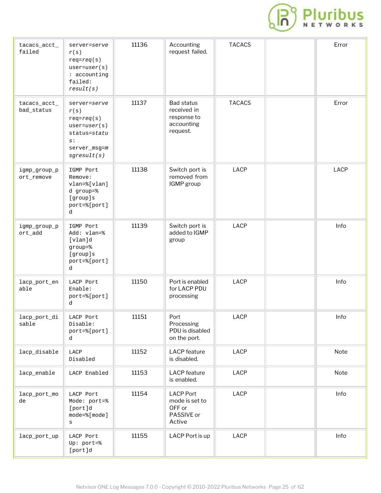

| tacacs_acct_<br>failed     | server=serve<br>r(s)<br>$req = req(s)$<br>$user-user(s)$<br>: accounting<br>failed:<br>result(s)               | 11136 | Accounting<br>request failed.                                        | <b>TACACS</b> | Error |
|----------------------------|----------------------------------------------------------------------------------------------------------------|-------|----------------------------------------------------------------------|---------------|-------|
| tacacs_acct_<br>bad_status | server=serve<br>r(s)<br>$req = req(s)$<br>$user-user(s)$<br>status=statu<br>s:<br>server_msg=m<br>sgressult(s) | 11137 | Bad status<br>received in<br>response to<br>accounting<br>request.   | <b>TACACS</b> | Error |
| igmp_group_p<br>ort_remove | IGMP Port<br>Remove:<br>vlan=%[vlan]<br>d group=%<br>[group]s<br>port=%[port]<br>d                             | 11138 | Switch port is<br>removed from<br>IGMP group                         | LACP          | LACP  |
| igmp_group_p<br>ort_add    | IGMP Port<br>Add: vlan=%<br>[vlan]d<br>group=%<br>[group]s<br>port=%[port]<br>d                                | 11139 | Switch port is<br>added to IGMP<br>group                             | LACP          | Info  |
| lacp_port_en<br>able       | LACP Port<br>Enable:<br>port=%[port]<br>d                                                                      | 11150 | Port is enabled<br>for LACP PDU<br>processing                        | LACP          | Info  |
| lacp_port_di<br>sable      | LACP Port<br>Disable:<br>port=%[port]<br>d                                                                     | 11151 | Port<br>Processing<br>PDU is disabled<br>on the port.                | LACP          | Info  |
| lacp_disable               | LACP<br>Disabled                                                                                               | 11152 | <b>LACP</b> feature<br>is disabled.                                  | LACP          | Note  |
| lacp_enable                | LACP Enabled                                                                                                   | 11153 | <b>LACP</b> feature<br>is enabled.                                   | LACP          | Note  |
| lacp_port_mo<br>de         | LACP Port<br>Mode: port=%<br>[port]d<br>mode=%[mode]<br>$\mathtt{s}$                                           | 11154 | <b>LACP Port</b><br>mode is set to<br>OFF or<br>PASSIVE or<br>Active | LACP          | Info  |
| lacp_port_up               | LACP Port<br>Up: port=%<br>[port]d                                                                             | 11155 | LACP Port is up                                                      | LACP          | Info  |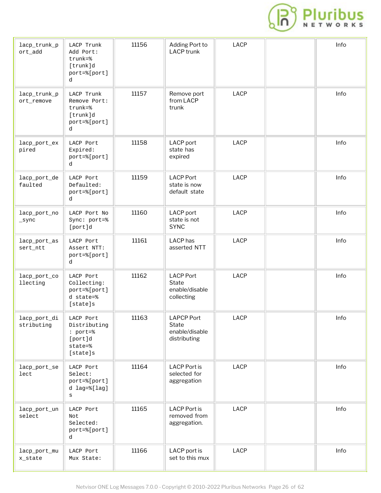

| lacp_trunk_p<br>$ort\_add$ | LACP Trunk<br>Add Port:<br>trunk=%<br>[trunk]d<br>port=%[port]<br>d     | 11156 | Adding Port to<br><b>LACP trunk</b>                                 | LACP | Info |
|----------------------------|-------------------------------------------------------------------------|-------|---------------------------------------------------------------------|------|------|
| lacp_trunk_p<br>ort_remove | LACP Trunk<br>Remove Port:<br>trunk=%<br>[trunk]d<br>port=%[port]<br>d  | 11157 | Remove port<br>from LACP<br>trunk                                   | LACP | Info |
| lacp_port_ex<br>pired      | LACP Port<br>Expired:<br>port=%[port]<br>d                              | 11158 | LACP port<br>state has<br>expired                                   | LACP | Info |
| lacp_port_de<br>faulted    | LACP Port<br>Defaulted:<br>port=%[port]<br>d                            | 11159 | <b>LACP Port</b><br>state is now<br>default state                   | LACP | Info |
| lacp_port_no<br>_sync      | LACP Port No<br>Sync: port=%<br>[port]d                                 | 11160 | LACP port<br>state is not<br><b>SYNC</b>                            | LACP | Info |
| lacp_port_as<br>sert_ntt   | LACP Port<br>Assert NTT:<br>port=%[port]<br>d                           | 11161 | LACP has<br>asserted NTT                                            | LACP | Info |
| lacp_port_co<br>llecting   | LACP Port<br>Collecting:<br>port=%[port]<br>d state=%<br>[state]s       | 11162 | <b>LACP Port</b><br><b>State</b><br>enable/disable<br>collecting    | LACP | Info |
| lacp_port_di<br>stributing | LACP Port<br>Distributing<br>: port=%<br>[port]d<br>state=%<br>[state]s | 11163 | <b>LAPCP Port</b><br><b>State</b><br>enable/disable<br>distributing | LACP | Info |
| lacp_port_se<br>lect       | LACP Port<br>Select:<br>port=%[port]<br>d lag=%[lag]<br>$\rm s$         | 11164 | <b>LACP Port is</b><br>selected for<br>aggregation                  | LACP | Info |
| lacp_port_un<br>select     | LACP Port<br>Not<br>Selected:<br>port=%[port]<br>d                      | 11165 | <b>LACP Port is</b><br>removed from<br>aggregation.                 | LACP | Info |
| lacp_port_mu<br>x_state    | LACP Port<br>Mux State:                                                 | 11166 | LACP port is<br>set to this mux                                     | LACP | Info |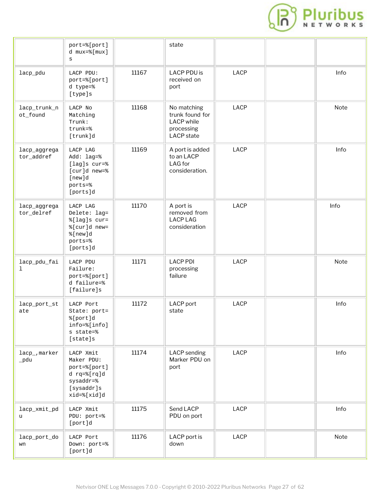

|                             | port=%[port]<br>d mux=%[mux]<br>S                                                                |       | state                                                                                  |      |      |
|-----------------------------|--------------------------------------------------------------------------------------------------|-------|----------------------------------------------------------------------------------------|------|------|
| lacp_pdu                    | LACP PDU:<br>port=%[port]<br>d type=%<br>[type]s                                                 | 11167 | LACP PDU is<br>received on<br>port                                                     | LACP | Info |
| lacp_trunk_n<br>ot_found    | LACP No<br>Matching<br>Trunk:<br>trunk=%<br>[trunk]d                                             | 11168 | No matching<br>trunk found for<br><b>LACP</b> while<br>processing<br><b>LACP</b> state | LACP | Note |
| lacp_aggrega<br>tor_addref  | LACP LAG<br>Add: lag=%<br>[lag]s cur=%<br>[cur]d new=%<br>[new]d<br>ports=%<br>[ports]d          | 11169 | A port is added<br>to an LACP<br>LAG for<br>consideration.                             | LACP | Info |
| lacp_aggrega<br>tor_delref  | LACP LAG<br>Delete: lag=<br>%[lag]s cur=<br>%[cur]d new=<br>%[new]d<br>ports=%<br>[ports]d       | 11170 | A port is<br>removed from<br><b>LACP LAG</b><br>consideration                          | LACP | Info |
| lacp_pdu_fai<br>$\mathbf 1$ | LACP PDU<br>Failure:<br>port=%[port]<br>d failure=%<br>[failure]s                                | 11171 | <b>LACP PDI</b><br>processing<br>failure                                               | LACP | Note |
| lacp_port_st<br>ate         | LACP Port<br>State: port=<br>%[port]d<br>info=%[info]<br>s state=%<br>[state]s                   | 11172 | LACP port<br>state                                                                     | LACP | Info |
| lacp_, marker<br>_pdu       | LACP Xmit<br>Maker PDU:<br>port=%[port]<br>d rq=%[rq]d<br>sysaddr=%<br>[sysaddr]s<br>xid=%[xid]d | 11174 | <b>LACP</b> sending<br>Marker PDU on<br>port                                           | LACP | Info |
| lacp_xmit_pd<br>u           | LACP Xmit<br>PDU: port=%<br>[port]d                                                              | 11175 | Send LACP<br>PDU on port                                                               | LACP | Info |
| lacp_port_do<br>wn          | LACP Port<br>Down: port=%<br>[port]d                                                             | 11176 | LACP port is<br>down                                                                   | LACP | Note |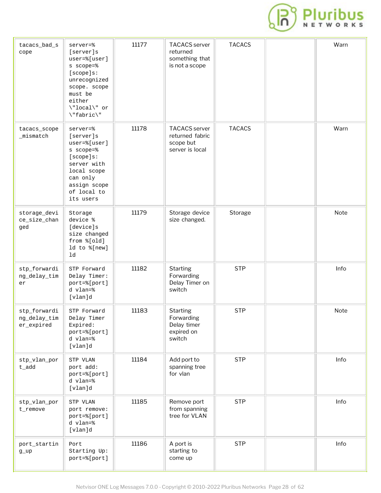

| tacacs_bad_s<br>cope                       | server=%<br>[server]s<br>user=%[user]<br>s scope=%<br>$[scope]s$ :<br>unrecognized<br>scope. scope<br>must be<br>either<br>\"local\" or<br>\"fabric\"    | 11177 | <b>TACACS</b> server<br>returned<br>something that<br>is not a scope    | <b>TACACS</b> | Warn |
|--------------------------------------------|----------------------------------------------------------------------------------------------------------------------------------------------------------|-------|-------------------------------------------------------------------------|---------------|------|
| tacacs_scope<br>_mismatch                  | server=%<br>[server]s<br>user=%[user]<br>s scope=%<br>$[scope]s$ :<br>server with<br>local scope<br>can only<br>assign scope<br>of local to<br>its users | 11178 | <b>TACACS</b> server<br>returned fabric<br>scope but<br>server is local | <b>TACACS</b> | Warn |
| storage_devi<br>ce_size_chan<br>ged        | Storage<br>device %<br>[device]s<br>size changed<br>from %[old]<br>ld to %[new]<br>ld                                                                    | 11179 | Storage device<br>size changed.                                         | Storage       | Note |
| stp_forwardi<br>ng_delay_tim<br>er         | STP Forward<br>Delay Timer:<br>port=%[port]<br>d vlan=%<br>[vlan]d                                                                                       | 11182 | <b>Starting</b><br>Forwarding<br>Delay Timer on<br>switch               | <b>STP</b>    | Info |
| stp_forwardi<br>ng_delay_tim<br>er_expired | STP Forward<br>Delay Timer<br>Expired:<br>port=%[port]<br>d vlan=%<br>[vlan]d                                                                            | 11183 | <b>Starting</b><br>Forwarding<br>Delay timer<br>expired on<br>switch    | <b>STP</b>    | Note |
| stp_vlan_por<br>$t\_add$                   | STP VLAN<br>port add:<br>port=%[port]<br>d vlan=%<br>[vlan]d                                                                                             | 11184 | Add port to<br>spanning tree<br>for vlan                                | <b>STP</b>    | Info |
| stp_vlan_por<br>t_remove                   | STP VLAN<br>port remove:<br>port=%[port]<br>d vlan=%<br>[vlan]d                                                                                          | 11185 | Remove port<br>from spanning<br>tree for VLAN                           | <b>STP</b>    | Info |
| port_startin<br>$g$ _up                    | Port<br>Starting Up:<br>port=%[port]                                                                                                                     | 11186 | A port is<br>starting to<br>come up                                     | <b>STP</b>    | Info |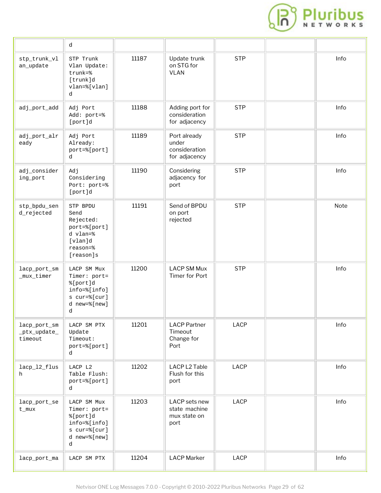

|                                         | d                                                                                             |       |                                                         |            |             |
|-----------------------------------------|-----------------------------------------------------------------------------------------------|-------|---------------------------------------------------------|------------|-------------|
| stp_trunk_vl<br>an_update               | STP Trunk<br>Vlan Update:<br>trunk=%<br>[trunk]d<br>vlan=%[vlan]<br>d                         | 11187 | Update trunk<br>on STG for<br><b>VLAN</b>               | <b>STP</b> | Info        |
| adj_port_add                            | Adj Port<br>Add: port=%<br>[port]d                                                            | 11188 | Adding port for<br>consideration<br>for adjacency       | <b>STP</b> | Info        |
| adj_port_alr<br>eady                    | Adj Port<br>Already:<br>port=%[port]<br>d                                                     | 11189 | Port already<br>under<br>consideration<br>for adjacency | <b>STP</b> | Info        |
| adj_consider<br>ing_port                | Adj<br>Considering<br>Port: port=%<br>[port]d                                                 | 11190 | Considering<br>adjacency for<br>port                    | <b>STP</b> | Info        |
| stp_bpdu_sen<br>d_rejected              | STP BPDU<br>Send<br>Rejected:<br>port=%[port]<br>d vlan=%<br>[vlan]d<br>reason=%<br>[reason]s | 11191 | Send of BPDU<br>on port<br>rejected                     | <b>STP</b> | <b>Note</b> |
| lacp_port_sm<br>_mux_timer              | LACP SM Mux<br>Timer: port=<br>%[port]d<br>info=%[info]<br>s cur=%[cur]<br>d new=%[new]<br>d  | 11200 | <b>LACP SM Mux</b><br>Timer for Port                    | <b>STP</b> | Info        |
| lacp_port_sm<br>_ptx_update_<br>timeout | LACP SM PTX<br>Update<br>Timeout:<br>port=%[port]<br>d                                        | 11201 | <b>LACP Partner</b><br>Timeout<br>Change for<br>Port    | LACP       | Info        |
| lacp_12_flus<br>h                       | LACP L2<br>Table Flush:<br>port=%[port]<br>d                                                  | 11202 | LACP L2 Table<br>Flush for this<br>port                 | LACP       | Info        |
| lacp_port_se<br>t_mux                   | LACP SM Mux<br>Timer: port=<br>%[port]d<br>info=%[info]<br>s cur=%[cur]<br>d new=%[new]<br>d  | 11203 | LACP sets new<br>state machine<br>mux state on<br>port  | LACP       | Info        |
| lacp_port_ma                            | LACP SM PTX                                                                                   | 11204 | <b>LACP Marker</b>                                      | LACP       | Info        |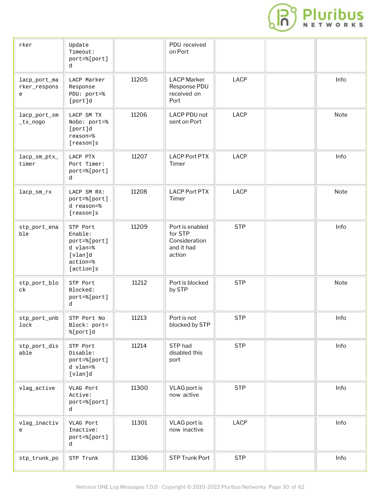

| rker                              | Update<br>Timeout:<br>port=%[port]<br>d                                             |       | PDU received<br>on Port                                             |            |      |
|-----------------------------------|-------------------------------------------------------------------------------------|-------|---------------------------------------------------------------------|------------|------|
| lacp_port_ma<br>rker_respons<br>е | LACP Marker<br>Response<br>PDU: port=%<br>[port]d                                   | 11205 | <b>LACP Marker</b><br>Response PDU<br>received on<br>Port           | LACP       | Info |
| lacp_port_sm<br>_tx_nogo          | LACP SM TX<br>NoGo: port=%<br>[port]d<br>reason=%<br>[reason]s                      | 11206 | LACP PDU not<br>sent on Port                                        | LACP       | Note |
| lacp_sm_ptx_<br>timer             | LACP PTX<br>Port Timer:<br>port=%[port]<br>d                                        | 11207 | <b>LACP Port PTX</b><br>Timer                                       | LACP       | Info |
| lacp_sm_rx                        | LACP SM RX:<br>port=%[port]<br>d reason=%<br>[reason]s                              | 11208 | <b>LACP Port PTX</b><br>Timer                                       | LACP       | Note |
| stp_port_ena<br>ble               | STP Port<br>Enable:<br>port=%[port]<br>d vlan=%<br>[vlan]d<br>action=%<br>[action]s | 11209 | Port is enabled<br>for STP<br>Consideration<br>and it had<br>action | <b>STP</b> | Info |
| stp_port_blo<br>ck                | STP Port<br>Blocked:<br>port=%[port]<br>d                                           | 11212 | Port is blocked<br>by STP                                           | <b>STP</b> | Note |
| stp_port_unb<br>lock              | STP Port No<br>Block: port=<br>%[port]d                                             | 11213 | Port is not<br>blocked by STP                                       | <b>STP</b> | Info |
| stp_port_dis<br>able              | STP Port<br>Disable:<br>port=%[port]<br>d vlan=%<br>[vlan]d                         | 11214 | STP had<br>disabled this<br>port                                    | <b>STP</b> | Info |
| vlag_active                       | VLAG Port<br>Active:<br>port=%[port]<br>d                                           | 11300 | VLAG port is<br>now active                                          | <b>STP</b> | Info |
| vlag_inactiv<br>е                 | VLAG Port<br>Inactive:<br>port=%[port]<br>d                                         | 11301 | VLAG port is<br>now inactive                                        | LACP       | Info |
| stp_trunk_po                      | STP Trunk                                                                           | 11306 | STP Trunk Port                                                      | <b>STP</b> | Info |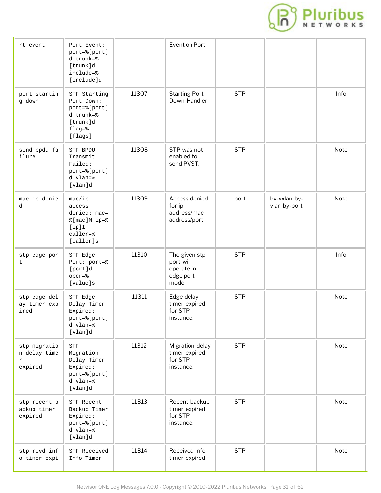

| rt_event                                           | Port Event:<br>port=%[port]<br>d trunk=%<br>[trunk]d<br>include=%<br>[include]d            |       | Event on Port                                                 |            |                              |      |
|----------------------------------------------------|--------------------------------------------------------------------------------------------|-------|---------------------------------------------------------------|------------|------------------------------|------|
| port_startin<br>g_down                             | STP Starting<br>Port Down:<br>port=%[port]<br>d trunk=%<br>[trunk]d<br>$flag =$<br>[flags] | 11307 | <b>Starting Port</b><br>Down Handler                          | <b>STP</b> |                              | Info |
| send_bpdu_fa<br>ilure                              | STP BPDU<br>Transmit<br>Failed:<br>port=%[port]<br>d vlan=%<br>[vlan]d                     | 11308 | STP was not<br>enabled to<br>send PVST.                       | <b>STP</b> |                              | Note |
| mac_ip_denie<br>d                                  | mac/ip<br>access<br>denied: mac=<br>%[mac]M ip=%<br>[ip]<br>caller=%<br>[caller]s          | 11309 | Access denied<br>for ip<br>address/mac<br>address/port        | port       | by-vxlan by-<br>vlan by-port | Note |
| stp_edge_por<br>t                                  | STP Edge<br>Port: port=%<br>[port]d<br>oper=%<br>[value]s                                  | 11310 | The given stp<br>port will<br>operate in<br>edge port<br>mode | <b>STP</b> |                              | Info |
| stp_edge_del<br>ay_timer_exp<br>ired               | STP Edge<br>Delay Timer<br>Expired:<br>port=%[port]<br>d vlan=%<br>[vlan]d                 | 11311 | Edge delay<br>timer expired<br>for STP<br>instance.           | <b>STP</b> |                              | Note |
| stp_migratio<br>n_delay_time<br>$r_{-}$<br>expired | <b>STP</b><br>Migration<br>Delay Timer<br>Expired:<br>port=%[port]<br>d vlan=%<br>[vlan]d  | 11312 | Migration delay<br>timer expired<br>for STP<br>instance.      | <b>STP</b> |                              | Note |
| stp_recent_b<br>ackup_timer_<br>expired            | STP Recent<br>Backup Timer<br>Expired:<br>port=%[port]<br>d vlan=%<br>[vlan]d              | 11313 | Recent backup<br>timer expired<br>for STP<br>instance.        | <b>STP</b> |                              | Note |
| stp_rcvd_inf<br>o_timer_expi                       | STP Received<br>Info Timer                                                                 | 11314 | Received info<br>timer expired                                | <b>STP</b> |                              | Note |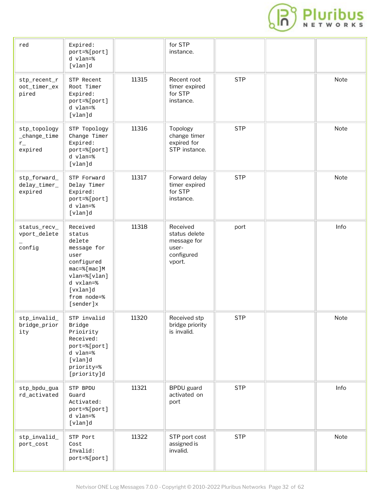

| red                                                       | Expired:<br>port=%[port]<br>d vlan=%<br>[vlan]d                                                                                                           |       | for STP<br>instance.                                                      |            |      |
|-----------------------------------------------------------|-----------------------------------------------------------------------------------------------------------------------------------------------------------|-------|---------------------------------------------------------------------------|------------|------|
| stp_recent_r<br>oot_timer_ex<br>pired                     | STP Recent<br>Root Timer<br>Expired:<br>port=%[port]<br>d vlan=%<br>[vlan]d                                                                               | 11315 | Recent root<br>timer expired<br>for STP<br>instance.                      | <b>STP</b> | Note |
| stp_topology<br>_change_time<br>$\mathtt{r}_-$<br>expired | STP Topology<br>Change Timer<br>Expired:<br>port=%[port]<br>d vlan=%<br>[vlan]d                                                                           | 11316 | Topology<br>change timer<br>expired for<br>STP instance.                  | <b>STP</b> | Note |
| stp_forward_<br>delay_timer_<br>expired                   | STP Forward<br>Delay Timer<br>Expired:<br>port=%[port]<br>d vlan=%<br>[vlan]d                                                                             | 11317 | Forward delay<br>timer expired<br>for STP<br>instance.                    | <b>STP</b> | Note |
| status_recv_<br>vport_delete<br>config                    | Received<br>status<br>delete<br>message for<br>user<br>configured<br>$mac = %[mac]M$<br>vlan=%[vlan]<br>d vxlan=%<br>[vxlan]d<br>from node=%<br>[sender]x | 11318 | Received<br>status delete<br>message for<br>user-<br>configured<br>vport. | port       | Info |
| stp_invalid_<br>bridge_prior<br>ity                       | STP invalid<br>Bridge<br>Prioirity<br>Received:<br>port=%[port]<br>d vlan=%<br>[vlan]d<br>priority=%<br>[priority]d                                       | 11320 | Received stp<br>bridge priority<br>is invalid.                            | <b>STP</b> | Note |
| stp_bpdu_gua<br>rd_activated                              | STP BPDU<br>Guard<br>Activated:<br>port=%[port]<br>d vlan=%<br>[vlan]d                                                                                    | 11321 | <b>BPDU</b> guard<br>activated on<br>port                                 | <b>STP</b> | Info |
| stp_invalid_<br>port_cost                                 | STP Port<br>Cost<br>Invalid:<br>port=%[port]                                                                                                              | 11322 | STP port cost<br>assigned is<br>invalid.                                  | <b>STP</b> | Note |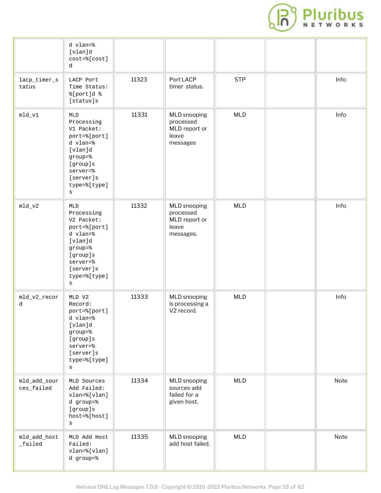

|                            | d vlan=%<br>[vlan]d<br>cost=%[cost]<br>d                                                                                                               |       |                                                                  |            |      |
|----------------------------|--------------------------------------------------------------------------------------------------------------------------------------------------------|-------|------------------------------------------------------------------|------------|------|
| lacp_timer_s<br>tatus      | LACP Port<br>Time Status:<br>%[port]d %<br>[status]s                                                                                                   | 11323 | Port LACP<br>timer status.                                       | <b>STP</b> | Info |
| $mld_v1$                   | MLD<br>Processing<br>V1 Packet:<br>port=%[port]<br>d vlan=%<br>[vlan]d<br>group=%<br>[group]s<br>server=%<br>[server]s<br>type=%[type]<br>$\rm s$      | 11331 | MLD snooping<br>processed<br>MLD report or<br>leave<br>messages  | <b>MLD</b> | Info |
| $mld_v2$                   | MLD<br>Processing<br>V2 Packet:<br>port=%[port]<br>d vlan=%<br>[vlan]d<br>group=%<br>[group]s<br>server=%<br>[server]s<br>type=%[type]<br>$\mathtt{s}$ | 11332 | MLD snooping<br>processed<br>MLD report or<br>leave<br>messages. | <b>MLD</b> | Info |
| mld_v2_recor<br>d          | MLD V2<br>Record:<br>port=%[port]<br>d vlan=%<br>[vlan]d<br>group=%<br>[grow]s<br>server=%<br>[server]s<br>type=%[type]<br>$\rm s$                     | 11333 | MLD snooping<br>is processing a<br>V2 record.                    | <b>MLD</b> | Info |
| mld_add_sour<br>ces_failed | MLD Sources<br>Add Failed:<br>vlan=%[vlan]<br>d group=%<br>[group]s<br>host=%[host]<br>$\mathtt{s}$                                                    | 11334 | MLD snooping<br>sources add<br>failed for a<br>given host.       | <b>MLD</b> | Note |
| mld_add_host<br>_failed    | MLD Add Host<br>Failed:<br>vlan=%[vlan]<br>d group=%                                                                                                   | 11335 | MLD snooping<br>add host failed.                                 | <b>MLD</b> | Note |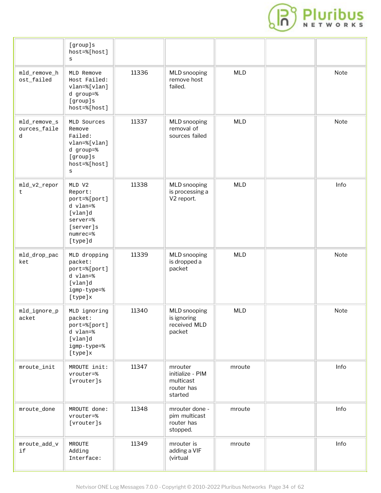

|                                   | [group]s<br>host=%[host]<br>$\mathtt{s}$                                                                  |       |                                                                   |            |      |
|-----------------------------------|-----------------------------------------------------------------------------------------------------------|-------|-------------------------------------------------------------------|------------|------|
| mld_remove_h<br>ost_failed        | MLD Remove<br>Host Failed:<br>vlan=%[vlan]<br>d group=%<br>[group]s<br>host=%[host]                       | 11336 | MLD snooping<br>remove host<br>failed.                            | <b>MLD</b> | Note |
| mld_remove_s<br>ources_faile<br>d | MLD Sources<br>Remove<br>Failed:<br>vlan=%[vlan]<br>d group=%<br>[group]s<br>host=%[host]<br>$\mathtt{s}$ | 11337 | MLD snooping<br>removal of<br>sources failed                      | <b>MLD</b> | Note |
| mld_v2_repor<br>t                 | MLD V2<br>Report:<br>port=%[port]<br>d vlan=%<br>[vlan]d<br>server=%<br>[server]s<br>numrec=%<br>[type]d  | 11338 | MLD snooping<br>is processing a<br>V2 report.                     | <b>MLD</b> | Info |
| mld_drop_pac<br>ket               | MLD dropping<br>packet:<br>port=%[port]<br>d vlan=%<br>[vlan]d<br>igmp-type=%<br>[type]x                  | 11339 | MLD snooping<br>is dropped a<br>packet                            | <b>MLD</b> | Note |
| mld_ignore_p<br>acket             | MLD ignoring<br>packet:<br>port=%[port]<br>d vlan=%<br>[vlan]d<br>igmp-type=%<br>[type]x                  | 11340 | MLD snooping<br>is ignoring<br>received MLD<br>packet             | <b>MLD</b> | Note |
| mroute_init                       | MROUTE init:<br>vrouter=%<br>[vrouter]s                                                                   | 11347 | mrouter<br>initialize - PIM<br>multicast<br>router has<br>started | mroute     | Info |
| mroute_done                       | MROUTE done:<br>vrouter=%<br>[vrouter]s                                                                   | 11348 | mrouter done -<br>pim multicast<br>router has<br>stopped.         | mroute     | Info |
| mroute_add_v<br>if                | MROUTE<br>Adding<br>Interface:                                                                            | 11349 | mrouter is<br>adding a VIF<br>(virtual                            | mroute     | Info |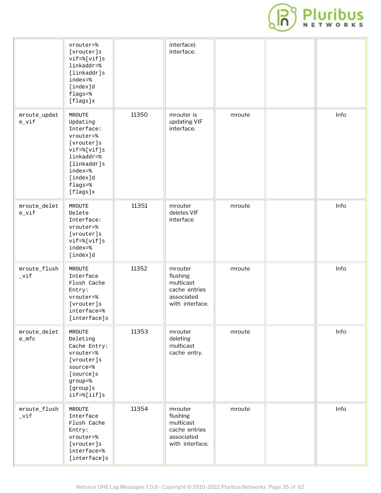

|                                | vrouter=%<br>[vrouter]s<br>$vif=\n\nvif] s$<br>linkaddr=%<br>[linkaddr]s<br>index=%<br>[index]d<br>$flags = 8$<br>[flags]x                                  |       | interface)<br>interface.                                                           |        |      |
|--------------------------------|-------------------------------------------------------------------------------------------------------------------------------------------------------------|-------|------------------------------------------------------------------------------------|--------|------|
| mroute_updat<br>e_vif          | MROUTE<br>Updating<br>Interface:<br>vrouter=%<br>[vrouter]s<br>$vif=\n\nvif] s$<br>linkaddr=%<br>[linkaddr]s<br>index=%<br>[index]d<br>$flags=$<br>[flags]x | 11350 | mrouter is<br>updating VIF<br>interface.                                           | mroute | Info |
| mroute_delet<br>$e$ _vif       | MROUTE<br>Delete<br>Interface:<br>vrouter=%<br>[vrouter]s<br>$vif=\n\nvif] s$<br>index=%<br>[index]d                                                        | 11351 | mrouter<br>deletes VIF<br>interface                                                | mroute | Info |
| mroute_flush<br>$_{\rm {vif}}$ | MROUTE<br>Interface<br>Flush Cache<br>Entry:<br>vrouter=%<br>[vrouter]s<br>interface=%<br>[interface]s                                                      | 11352 | mrouter<br>flushing<br>multicast<br>cache entries<br>associated<br>with interface. | mroute | Info |
| mroute_delet<br>$e_mfc$        | MROUTE<br>Deleting<br>Cache Entry:<br>vrouter=%<br>[vrouter]s<br>source=%<br>[source]s<br>$group=\$<br>[group]s<br>iif=%[iif]s                              | 11353 | mrouter<br>deleting<br>multicast<br>cache entry.                                   | mroute | Info |
| mroute_flush<br>$_{\rm {vif}}$ | MROUTE<br>Interface<br>Flush Cache<br>Entry:<br>vrouter=%<br>[vrouter]s<br>interface=%<br>[interface]s                                                      | 11354 | mrouter<br>flushing<br>multicast<br>cache entries<br>associated<br>with interface. | mroute | Info |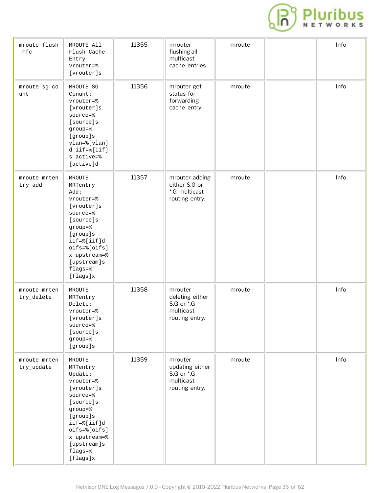

| mroute_flush<br>mfc        | MROUTE All<br>Flush Cache<br>Entry:<br>vrouter=%<br>[vrouter]s                                                                                                                                         | 11355 | mrouter<br>flushing all<br>multicast<br>cache entries.                        | mroute | Info |
|----------------------------|--------------------------------------------------------------------------------------------------------------------------------------------------------------------------------------------------------|-------|-------------------------------------------------------------------------------|--------|------|
| mroute_sg_co<br>unt        | MROUTE SG<br>Conunt:<br>vrouter=%<br>[vrouter]s<br>source=%<br>[source]s<br>group=%<br>[group]s<br>vlan=%[vlan]<br>d iif=%[iif]<br>s active=%<br>[active]d                                             | 11356 | mrouter get<br>status for<br>forwarding<br>cache entry.                       | mroute | Info |
| mroute_mrten<br>try_add    | MROUTE<br>MRTentry<br>Add:<br>vrouter=%<br>[vrouter]s<br>source=%<br>[source]s<br>group=%<br>[group]s<br>iif=%[iif]d<br>oifs=%[oifs]<br>x upstream=%<br>[upstream]s<br>$flags = 8$<br>[flags]x         | 11357 | mrouter adding<br>either S,G or<br>*,G multicast<br>routing entry.            | mroute | Info |
| mroute_mrten<br>try_delete | MROUTE<br>MRTentry<br>Delete:<br>vrouter=%<br>[vrouter]s<br>source=%<br>[source]s<br>group=%<br>[group]s                                                                                               | 11358 | mrouter<br>deleting either<br>S,G or *,G<br>multicast<br>routing entry.       | mroute | Info |
| mroute_mrten<br>try_update | MROUTE<br>MRTentry<br>Update:<br>vrouter=%<br>[vrouter]s<br>source=%<br>[source]s<br>group=%<br>[group]s<br>iif=%[iif]d<br>$oifs=\n\\[oifs]$<br>x upstream=%<br>[upstream]s<br>$flags = 8$<br>[flags]x | 11359 | mrouter<br>updating either<br>$S,G$ or $*$ , G<br>multicast<br>routing entry. | mroute | Info |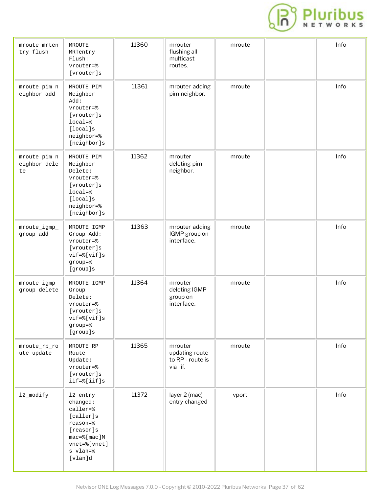

| mroute_mrten<br>try_flush          | MROUTE<br>MRTentry<br>Flush:<br>vrouter=%<br>[vrouter]s                                                                                     | 11360 | mrouter<br>flushing all<br>multicast<br>routes.           | mroute | Info |
|------------------------------------|---------------------------------------------------------------------------------------------------------------------------------------------|-------|-----------------------------------------------------------|--------|------|
| mroute_pim_n<br>eighbor_add        | MROUTE PIM<br>Neighbor<br>Add:<br>vrouter=%<br>[vrouter]s<br>$local =$<br>[local]s<br>neighbor=%<br>[neighbor]s                             | 11361 | mrouter adding<br>pim neighbor.                           | mroute | Info |
| mroute_pim_n<br>eighbor_dele<br>te | MROUTE PIM<br>Neighbor<br>Delete:<br>vrouter=%<br>[vrouter]s<br>$local =$<br>[local]s<br>neighbor=%<br>[neighbor]s                          | 11362 | mrouter<br>deleting pim<br>neighbor.                      | mroute | Info |
| mroute_igmp_<br>group_add          | MROUTE IGMP<br>Group Add:<br>vrouter=%<br>[vrouter]s<br>$vif=\n\n[vif]s$<br>group=%<br>[group]s                                             | 11363 | mrouter adding<br>IGMP group on<br>interface.             | mroute | Info |
| mroute_igmp_<br>group_delete       | MROUTE IGMP<br>Group<br>Delete:<br>vrouter=%<br>[vrouter]s<br>$v$ if=%[ $v$ if]s<br>group=%<br>[group]s                                     | 11364 | mrouter<br>deleting IGMP<br>group on<br>interface.        | mroute | Info |
| mroute_rp_ro<br>ute_update         | MROUTE RP<br>Route<br>Update:<br>vrouter=%<br>[vrouter]s<br>iif=%[iif]s                                                                     | 11365 | mrouter<br>updating route<br>to RP - route is<br>via iif. | mroute | Info |
| 12_modify                          | 12 entry<br>changed:<br>caller=%<br>[caller]s<br>reason=%<br>[reason]s<br>$mac = \frac{6}{3} [mac]M$<br>vnet=%[vnet]<br>s vlan=%<br>[vlan]d | 11372 | layer 2 (mac)<br>entry changed                            | vport  | Info |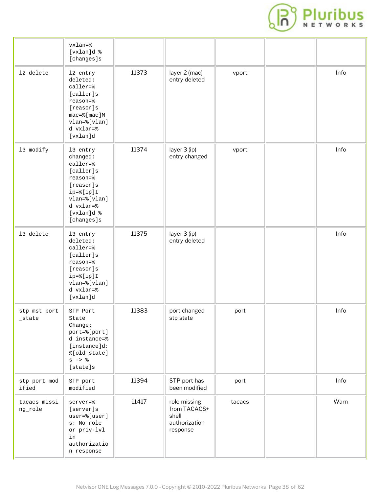

|                         | vxlan=%<br>[vxlan]d %<br>[changes]s                                                                                                              |       |                                                                    |        |      |
|-------------------------|--------------------------------------------------------------------------------------------------------------------------------------------------|-------|--------------------------------------------------------------------|--------|------|
| 12_delete               | 12 entry<br>deleted:<br>caller=%<br>[caller]s<br>reason=%<br>[reason]s<br>$mac =$ $\frac{1}{6}$ [mac] M<br>vlan=%[vlan]<br>d vxlan=%<br>[vxlan]d | 11373 | layer 2 (mac)<br>entry deleted                                     | vport  | Info |
| 13_modify               | 13 entry<br>changed:<br>caller=%<br>[caller]s<br>reason=%<br>[reason]s<br>ip=%[ip]I<br>vlan=%[vlan]<br>d vxlan=%<br>[vxlan]d %<br>[changes]s     | 11374 | layer 3 (ip)<br>entry changed                                      | vport  | Info |
| 13_delete               | 13 entry<br>deleted:<br>caller=%<br>[caller]s<br>reason=%<br>[reason]s<br>ip=%[ip]I<br>vlan=%[vlan]<br>d vxlan=%<br>[vxlan]d                     | 11375 | layer 3 (ip)<br>entry deleted                                      |        | Info |
| stp_mst_port<br>_state  | STP Port<br>State<br>Change:<br>port=%[port]<br>d instance=%<br>$[$ instance] $d$ :<br>%[old_state]<br>$S \rightarrow \$<br>[state]s             | 11383 | port changed<br>stp state                                          | port   | Info |
| stp_port_mod<br>ified   | STP port<br>modified                                                                                                                             | 11394 | STP port has<br>been modified                                      | port   | Info |
| tacacs_missi<br>ng_role | server=%<br>[server]s<br>user=%[user]<br>s: No role<br>or priv-lvl<br>in<br>authorizatio<br>n response                                           | 11417 | role missing<br>from TACACS+<br>shell<br>authorization<br>response | tacacs | Warn |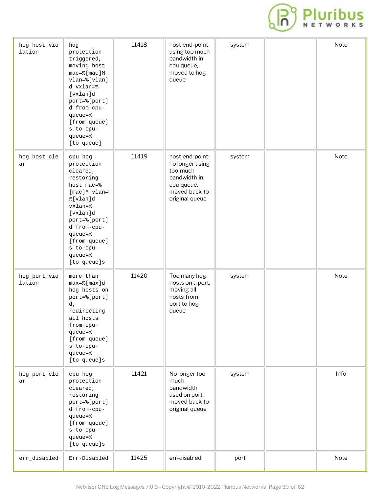

| hog_host_vio<br>lation | hog<br>protection<br>triggered,<br>moving host<br>$mac =$ $\frac{1}{6}$ [mac] M<br>vlan=%[vlan]<br>d vxlan=%<br>[vxlan]d<br>port=%[port]<br>d from-cpu-<br>queue=%<br>[from_queue]<br>s to-cpu-<br>queue=%<br>[to_queue] | 11418 | host end-point<br>using too much<br>bandwidth in<br>cpu queue,<br>moved to hog<br>queue                        | system | Note |
|------------------------|--------------------------------------------------------------------------------------------------------------------------------------------------------------------------------------------------------------------------|-------|----------------------------------------------------------------------------------------------------------------|--------|------|
| hog_host_cle<br>ar     | cpu hog<br>protection<br>cleared,<br>restoring<br>host $mac = 8$<br>[mac]M vlan=<br>%[vlan]d<br>vxlan=%<br>[vxlan]d<br>port=%[port]<br>d from-cpu-<br>queue=%<br>[from_queue]<br>s to-cpu-<br>queue=%<br>[to_queue]s     | 11419 | host end-point<br>no longer using<br>too much<br>bandwidth in<br>cpu queue,<br>moved back to<br>original queue | system | Note |
| hog_port_vio<br>lation | more than<br>$max=\$ [ $max$ ] $d$<br>hog hosts on<br>port=%[port]<br>d,<br>redirecting<br>all hosts<br>from-cpu-<br>queue=%<br>[from_queue]<br>s to-cpu-<br>queue=%<br>[to_queue]s                                      | 11420 | Too many hog<br>hosts on a port,<br>moving all<br>hosts from<br>port to hog<br>queue                           | system | Note |
| hog_port_cle<br>ar     | cpu hog<br>protection<br>cleared,<br>restoring<br>port=%[port]<br>d from-cpu-<br>queue=%<br>[from_queue]<br>s to-cpu-<br>queue=%<br>[to_queue]s                                                                          | 11421 | No longer too<br>much<br>bandwidth<br>used on port,<br>moved back to<br>original queue                         | system | Info |
| err_disabled           | Err-Disabled                                                                                                                                                                                                             | 11425 | err-disabled                                                                                                   | port   | Note |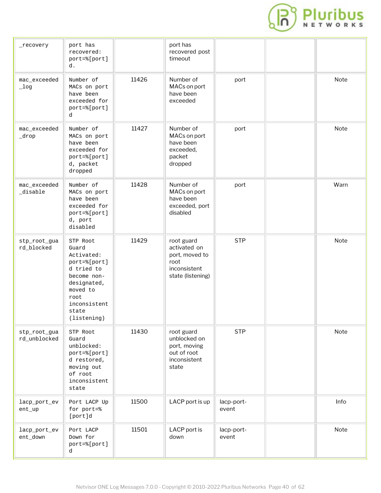

| _recovery                    | port has<br>recovered:<br>port=%[port]<br>d.                                                                                                            |       | port has<br>recovered post<br>timeout                                                     |                     |      |
|------------------------------|---------------------------------------------------------------------------------------------------------------------------------------------------------|-------|-------------------------------------------------------------------------------------------|---------------------|------|
| mac_exceeded<br>$\_log$      | Number of<br>MACs on port<br>have been<br>exceeded for<br>port=%[port]<br>d                                                                             | 11426 | Number of<br>MACs on port<br>have been<br>exceeded                                        | port                | Note |
| mac_exceeded<br>_drop        | Number of<br>MACs on port<br>have been<br>exceeded for<br>port=%[port]<br>d, packet<br>dropped                                                          | 11427 | Number of<br>MACs on port<br>have been<br>exceeded,<br>packet<br>dropped                  | port                | Note |
| mac_exceeded<br>_disable     | Number of<br>MACs on port<br>have been<br>exceeded for<br>port=%[port]<br>d, port<br>disabled                                                           | 11428 | Number of<br>MACs on port<br>have been<br>exceeded, port<br>disabled                      | port                | Warn |
| stp_root_gua<br>rd_blocked   | STP Root<br>Guard<br>Activated:<br>port=%[port]<br>d tried to<br>become non-<br>designated,<br>moved to<br>root<br>inconsistent<br>state<br>(listening) | 11429 | root guard<br>activated on<br>port, moved to<br>root<br>inconsistent<br>state (listening) | <b>STP</b>          | Note |
| stp_root_gua<br>rd_unblocked | STP Root<br>Guard<br>unblocked:<br>port=%[port]<br>d restored,<br>moving out<br>of root<br>inconsistent<br>state                                        | 11430 | root guard<br>unblocked on<br>port, moving<br>out of root<br>inconsistent<br>state        | <b>STP</b>          | Note |
| lacp_port_ev<br>ent_up       | Port LACP Up<br>for port=%<br>[port]d                                                                                                                   | 11500 | LACP port is up                                                                           | lacp-port-<br>event | Info |
| lacp_port_ev<br>ent_down     | Port LACP<br>Down for<br>port=%[port]<br>d                                                                                                              | 11501 | LACP port is<br>down                                                                      | lacp-port-<br>event | Note |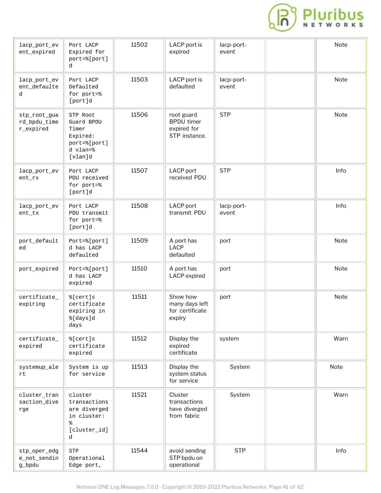

| lacp_port_ev<br>ent_expired               | Port LACP<br>Expired for<br>port=%[port]<br>d                                         | 11502 | LACP port is<br>expired                                         | lacp-port-<br>event | Note |
|-------------------------------------------|---------------------------------------------------------------------------------------|-------|-----------------------------------------------------------------|---------------------|------|
| lacp_port_ev<br>ent_defaulte<br>d         | Port LACP<br>Defaulted<br>for port=%<br>[port]d                                       | 11503 | LACP port is<br>defaulted                                       | lacp-port-<br>event | Note |
| stp_root_gua<br>rd_bpdu_time<br>r_expired | STP Root<br>Guard BPDU<br>Timer<br>Expired:<br>port=%[port]<br>d vlan=%<br>[vlan]d    | 11506 | root guard<br><b>BPDU</b> timer<br>expired for<br>STP instance. | <b>STP</b>          | Note |
| lacp_port_ev<br>ent_rx                    | Port LACP<br>PDU received<br>for port=%<br>[port]d                                    | 11507 | LACP port<br>received PDU                                       | <b>STP</b>          | Info |
| lacp_port_ev<br>ent_tx                    | Port LACP<br>PDU transmit<br>for port=%<br>[port]d                                    | 11508 | LACP port<br>transmit PDU                                       | lacp-port-<br>event | Info |
| port_default<br>ed                        | Port=%[port]<br>d has LACP<br>defaulted                                               | 11509 | A port has<br><b>LACP</b><br>defaulted                          | port                | Note |
| port_expired                              | Port=%[port]<br>d has LACP<br>expired                                                 | 11510 | A port has<br>LACP expired                                      | port                | Note |
| certificate_<br>expiring                  | %[cert]s<br>certificate<br>expiring in<br>%[days]d<br>days                            | 11511 | Show how<br>many days left<br>for certificate<br>expiry         | port                | Note |
| certificate_<br>expired                   | %[cert]s<br>certificate<br>expired                                                    | 11512 | Display the<br>expired<br>certificate                           | system              | Warn |
| systemup_ale<br>rt                        | System is up<br>for service                                                           | 11513 | Display the<br>system status<br>for service                     | System              | Note |
| cluster_tran<br>saction_dive<br>rge       | cluster<br>transactions<br>are diverged<br>in cluster:<br>ە<br>ج<br>[cluster_id]<br>d | 11521 | Cluster<br>transactions<br>have diverged<br>from fabric         | System              | Warn |
| stp_oper_edg<br>e_not_sendin<br>g_bpdu    | <b>STP</b><br>Operational<br>Edge port,                                               | 11544 | avoid sending<br>STP bpdu on<br>operational                     | <b>STP</b>          | Info |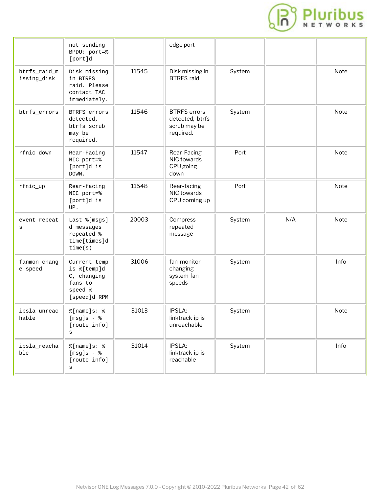

|                              | not sending<br>BPDU: port=%<br>[port]d                                           |       | edge port                                                           |        |     |             |
|------------------------------|----------------------------------------------------------------------------------|-------|---------------------------------------------------------------------|--------|-----|-------------|
| btrfs_raid_m<br>issing_disk  | Disk missing<br>in BTRFS<br>raid. Please<br>contact TAC<br>immediately.          | 11545 | Disk missing in<br><b>BTRFS</b> raid                                | System |     | <b>Note</b> |
| btrfs_errors                 | BTRFS errors<br>detected,<br>btrfs scrub<br>may be<br>required.                  | 11546 | <b>BTRFS</b> errors<br>detected, btrfs<br>scrub may be<br>required. | System |     | Note        |
| rfnic_down                   | Rear-Facing<br>NIC port=%<br>[port]d is<br>DOWN.                                 | 11547 | Rear-Facing<br>NIC towards<br>CPU going<br>down                     | Port   |     | <b>Note</b> |
| rfnic_up                     | Rear-facing<br>NIC port=%<br>[port]d is<br>UP.                                   | 11548 | Rear-facing<br>NIC towards<br>CPU coming up                         | Port   |     | <b>Note</b> |
| event_repeat<br>$\mathtt{s}$ | Last % [msgs]<br>d messages<br>repeated %<br>time[times]d<br>time(s)             | 20003 | Compress<br>repeated<br>message                                     | System | N/A | <b>Note</b> |
| fanmon_chang<br>e_speed      | Current temp<br>is %[temp]d<br>C, changing<br>fans to<br>speed %<br>[speed]d RPM | 31006 | fan monitor<br>changing<br>system fan<br>speeds                     | System |     | Info        |
| ipsla_unreac<br>hable        | $\gamma$ [name]s: $\gamma$<br>$[msg]s - %$<br>[route_info]<br>S                  | 31013 | IPSLA:<br>linktrack ip is<br>unreachable                            | System |     | Note        |
| ipsla_reacha<br>ble          | $\gamma$ [name]s: $\gamma$<br>$[msg]s - 8$<br>[route_info]<br>S                  | 31014 | IPSLA:<br>linktrack ip is<br>reachable                              | System |     | Info        |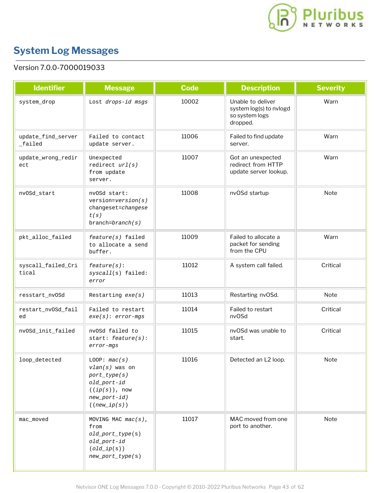

# <span id="page-42-0"></span>**System Log Messages**

| <b>Identifier</b>             | <b>Message</b>                                                                                                           | <b>Code</b> | <b>Description</b>                                                         | <b>Severity</b> |
|-------------------------------|--------------------------------------------------------------------------------------------------------------------------|-------------|----------------------------------------------------------------------------|-----------------|
| system_drop                   | Lost drops-id msgs                                                                                                       | 10002       | Unable to deliver<br>system log(s) to nvlogd<br>so system logs<br>dropped. | Warn            |
| update_find_server<br>_failed | Failed to contact<br>update server.                                                                                      | 11006       | Failed to find update<br>server.                                           | Warn            |
| update_wrong_redir<br>ect     | Unexpected<br>redirect $url(s)$<br>from update<br>server.                                                                | 11007       | Got an unexpected<br>redirect from HTTP<br>update server lookup.           | Warn            |
| nv0Sd_start                   | nvOSd start:<br>$version=version(s)$<br>$change set = change se$<br>t(s)<br>$branch=branch(s)$                           | 11008       | nvOSd startup                                                              | Note            |
| pkt_alloc_failed              | $feature(s)$ failed<br>to allocate a send<br>buffer.                                                                     | 11009       | Failed to allocate a<br>packet for sending<br>from the CPU                 | Warn            |
| syscall_failed_Cri<br>tical   | feature(s):<br>syscall(s) failed:<br>error                                                                               | 11012       | A system call failed.                                                      | Critical        |
| resstart_nv0Sd                | Restarting $exe(s)$                                                                                                      | 11013       | Restarting nvOSd.                                                          | Note            |
| restart_nvOSd_fail<br>ed      | Failed to restart<br>$exc(s): error-mgs$                                                                                 | 11014       | Failed to restart<br>nvOSd                                                 | Critical        |
| nvOSd_init_failed             | nvOSd failed to<br>start: $feature(s)$ :<br>error-mgs                                                                    | 11015       | nvOSd was unable to<br>start.                                              | Critical        |
| loop_detected                 | LOOP: $mac(s)$<br>$vlan(s)$ was on<br>$port\_type(s)$<br>old_port-id<br>((ip(s)), now<br>new_port-id)<br>$((new\_ip(s))$ | 11016       | Detected an L2 loop.                                                       | Note            |
| mac_moved                     | MOVING MAC $mac(s)$ ,<br>from<br>old_port_type(s)<br>old_port-id<br>$\left($ old_ip $(s)$ )<br>new_port_type(s)          | 11017       | MAC moved from one<br>port to another.                                     | Note            |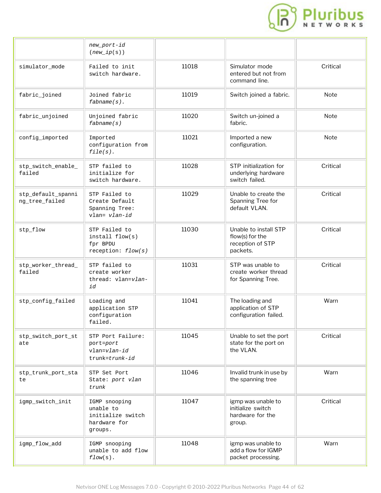

|                                      | new_port-id<br>$(new\_ip(s))$                                              |       |                                                                          |             |
|--------------------------------------|----------------------------------------------------------------------------|-------|--------------------------------------------------------------------------|-------------|
| simulator_mode                       | Failed to init<br>switch hardware.                                         | 11018 | Simulator mode<br>entered but not from<br>command line.                  | Critical    |
| fabric_joined                        | Joined fabric<br>$fabname(s)$ .                                            | 11019 | Switch joined a fabric.                                                  | <b>Note</b> |
| fabric_unjoined                      | Unjoined fabric<br>fabname(s)                                              | 11020 | Switch un-joined a<br>fabric.                                            | <b>Note</b> |
| config_imported                      | Imported<br>configuration from<br>$file(s)$ .                              | 11021 | Imported a new<br>configuration.                                         | Note        |
| stp_switch_enable_<br>failed         | STP failed to<br>initialize for<br>switch hardware.                        | 11028 | STP initialization for<br>underlying hardware<br>switch failed.          | Critical    |
| stp_default_spanni<br>ng_tree_failed | STP Failed to<br>Create Default<br>Spanning Tree:<br>$vlan = vlan-id$      | 11029 | Unable to create the<br>Spanning Tree for<br>default VLAN.               | Critical    |
| stp_flow                             | STP Failed to<br>install flow(s)<br>fpr BPDU<br>reception: $flow(s)$       | 11030 | Unable to install STP<br>flow(s) for the<br>reception of STP<br>packets. | Critical    |
| stp_worker_thread_<br>failed         | STP failed to<br>create worker<br>thread: vlan=vlan-<br>id                 | 11031 | STP was unable to<br>create worker thread<br>for Spanning Tree.          | Critical    |
| stp_config_failed                    | Loading and<br>application STP<br>configuration<br>failed.                 | 11041 | The loading and<br>application of STP<br>configuration failed.           | Warn        |
| stp_switch_port_st<br>ate            | STP Port Failure:<br>port=port<br>vlan=vlan-id<br>trunk=trunk-id           | 11045 | Unable to set the port<br>state for the port on<br>the VLAN.             | Critical    |
| stp_trunk_port_sta<br>te             | STP Set Port<br>State: port vlan<br>trunk                                  | 11046 | Invalid trunk in use by<br>the spanning tree                             | Warn        |
| igmp_switch_init                     | IGMP snooping<br>unable to<br>initialize switch<br>hardware for<br>groups. | 11047 | igmp was unable to<br>initialize switch<br>hardware for the<br>group.    | Critical    |
| igmp_flow_add                        | IGMP snooping<br>unable to add flow<br>$flow(s)$ .                         | 11048 | igmp was unable to<br>add a flow for IGMP<br>packet processing.          | Warn        |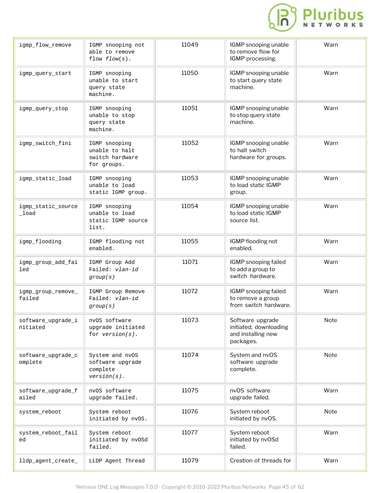

| igmp_flow_remove                | IGMP snooping not<br>able to remove<br>flow $flow(s)$ .           | 11049 | IGMP snooping unable<br>to remove flow for<br>IGMP processing.                | Warn        |
|---------------------------------|-------------------------------------------------------------------|-------|-------------------------------------------------------------------------------|-------------|
| igmp_query_start                | IGMP snooping<br>unable to start<br>query state<br>machine.       | 11050 | IGMP snooping unable<br>to start query state<br>machine.                      | Warn        |
| igmp_query_stop                 | IGMP snooping<br>unable to stop<br>query state<br>machine.        | 11051 | IGMP snooping unable<br>to stop query state<br>machine.                       | Warn        |
| igmp_switch_fini                | IGMP snooping<br>unable to halt<br>switch hardware<br>for groups. | 11052 | IGMP snooping unable<br>to halt switch<br>hardware for groups.                | Warn        |
| igmp_static_load                | IGMP snooping<br>unable to load<br>static IGMP group.             | 11053 | IGMP snooping unable<br>to load static IGMP<br>group.                         | Warn        |
| igmp_static_source<br>$\_$ load | IGMP snooping<br>unable to load<br>static IGMP source<br>list.    | 11054 | IGMP snooping unable<br>to load static IGMP<br>source list.                   | Warn        |
| igmp_flooding                   | IGMP flooding not<br>enabled.                                     | 11055 | IGMP flooding not<br>enabled.                                                 | Warn        |
| igmp_group_add_fai<br>led       | IGMP Group Add<br>Failed: vlan-id<br>group(s)                     | 11071 | IGMP snooping failed<br>to add a group to<br>switch hardware.                 | Warn        |
| igmp_group_remove_<br>failed    | IGMP Group Remove<br>Failed: vlan-id<br>group(s)                  | 11072 | IGMP snooping failed<br>to remove a group<br>from switch hardware.            | Warn        |
| software_upgrade_i<br>nitiated  | nvOS software<br>upgrade initiated<br>for $version(s)$ .          | 11073 | Software upgrade<br>initiated; downloading<br>and installing new<br>packages. | Note        |
| software_upgrade_c<br>omplete   | System and nvOS<br>software upgrade<br>complete<br>$version(s)$ . | 11074 | System and nvOS<br>software upgrade<br>complete.                              | <b>Note</b> |
| software_upgrade_f<br>ailed     | nvOS software<br>upgrade failed.                                  | 11075 | nvOS software<br>upgrade failed.                                              | Warn        |
| system_reboot                   | System reboot<br>initiated by nvOS.                               | 11076 | System reboot<br>initiated by nvOS.                                           | Note        |
| system_reboot_fail<br>ed        | System reboot<br>initiated by nvOSd<br>failed.                    | 11077 | System reboot<br>initiated by nvOSd<br>failed.                                | Warn        |
| lldp_agent_create_              | LLDP Agent Thread                                                 | 11079 | Creation of threads for                                                       | Warn        |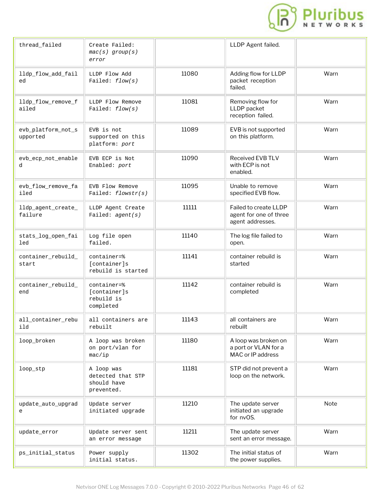

| thread failed                  | Create Failed:<br>$mac(s)$ group(s)<br>error                 |       | LLDP Agent failed.                                                  |      |
|--------------------------------|--------------------------------------------------------------|-------|---------------------------------------------------------------------|------|
| lldp_flow_add_fail<br>ed       | LLDP Flow Add<br>Failed: $flow(s)$                           | 11080 | Adding flow for LLDP<br>packet reception<br>failed.                 | Warn |
| lldp_flow_remove_f<br>ailed    | LLDP Flow Remove<br>Failed: $flow(s)$                        | 11081 | Removing flow for<br>LLDP packet<br>reception failed.               | Warn |
| evb_platform_not_s<br>upported | EVB is not<br>supported on this<br>platform: port            | 11089 | EVB is not supported<br>on this platform.                           | Warn |
| evb_ecp_not_enable<br>d        | EVB ECP is Not<br>Enabled: port                              | 11090 | <b>Received EVB TLV</b><br>with ECP is not<br>enabled.              | Warn |
| evb_flow_remove_fa<br>iled     | EVB Flow Remove<br>Failed: $flowstr(s)$                      | 11095 | Unable to remove<br>specified EVB flow.                             | Warn |
| lldp_agent_create_<br>failure  | LLDP Agent Create<br>Failed: agent(s)                        | 11111 | Failed to create LLDP<br>agent for one of three<br>agent addresses. | Warn |
| stats_log_open_fai<br>led      | Log file open<br>failed.                                     | 11140 | The log file failed to<br>open.                                     | Warn |
| container_rebuild_<br>start    | container=%<br>[container]s<br>rebuild is started            | 11141 | container rebuild is<br>started                                     | Warn |
| container_rebuild_<br>end      | container=%<br>[container]s<br>rebuild is<br>completed       | 11142 | container rebuild is<br>completed                                   | Warn |
| all_container_rebu<br>ild      | all containers are<br>rebuilt                                | 11143 | all containers are<br>rebuilt                                       | Warn |
| loop_broken                    | A loop was broken<br>on port/vlan for<br>mac/ip              | 11180 | A loop was broken on<br>a port or VLAN for a<br>MAC or IP address   | Warn |
| loop_stp                       | A loop was<br>detected that STP<br>should have<br>prevented. | 11181 | STP did not prevent a<br>loop on the network.                       | Warn |
| update_auto_upgrad<br>е        | Update server<br>initiated upgrade                           | 11210 | The update server<br>initiated an upgrade<br>for nvOS.              | Note |
| update_error                   | Update server sent<br>an error message                       | 11211 | The update server<br>sent an error message.                         | Warn |
| ps_initial_status              | Power supply<br>initial status.                              | 11302 | The initial status of<br>the power supplies.                        | Warn |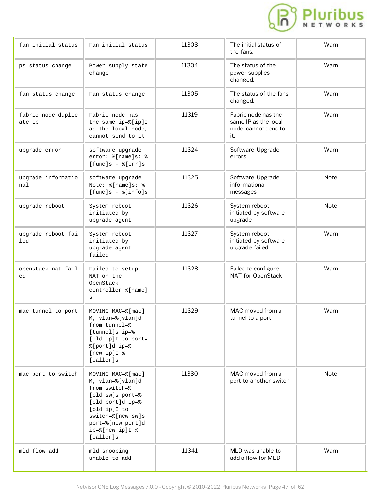

| fan_initial_status           | Fan initial status                                                                                                                                                                                      | 11303 | The initial status of<br>the fans.                                         | Warn        |
|------------------------------|---------------------------------------------------------------------------------------------------------------------------------------------------------------------------------------------------------|-------|----------------------------------------------------------------------------|-------------|
| ps_status_change             | Power supply state<br>change                                                                                                                                                                            | 11304 | The status of the<br>power supplies<br>changed.                            | Warn        |
| fan_status_change            | Fan status change                                                                                                                                                                                       | 11305 | The status of the fans<br>changed.                                         | Warn        |
| fabric_node_duplic<br>ate_ip | Fabric node has<br>the same ip=%[ip]I<br>as the local node,<br>cannot send to it                                                                                                                        | 11319 | Fabric node has the<br>same IP as the local<br>node, cannot send to<br>it. | Warn        |
| upgrade_error                | software upgrade<br>$error:$ <i>[name]s: <math>%</math></i><br>$[func]s - [err]s$                                                                                                                       | 11324 | Software Upgrade<br>errors                                                 | Warn        |
| upgrade_informatio<br>nal    | software upgrade<br>Note: %[name]s: %<br>$[func]s - î[info]s$                                                                                                                                           | 11325 | Software Upgrade<br>informational<br>messages                              | <b>Note</b> |
| upgrade_reboot               | System reboot<br>initiated by<br>upgrade agent                                                                                                                                                          | 11326 | System reboot<br>initiated by software<br>upgrade                          | <b>Note</b> |
| upgrade_reboot_fai<br>led    | System reboot<br>initiated by<br>upgrade agent<br>failed                                                                                                                                                | 11327 | System reboot<br>initiated by software<br>upgrade failed                   | Warn        |
| openstack_nat_fail<br>ed     | Failed to setup<br>NAT on the<br>OpenStack<br>controller % [name]<br>$\rm s$                                                                                                                            | 11328 | Failed to configure<br>NAT for OpenStack                                   | Warn        |
| mac_tunnel_to_port           | MOVING MAC=% [mac]<br>M, vlan=%[vlan]d<br>from tunnel=%<br>[tunnel]s ip=%<br>[old_ip]I to port=<br>%[port]d ip=%<br>$[new_ip]I$ %<br>[caller]s                                                          | 11329 | MAC moved from a<br>tunnel to a port                                       | Warn        |
| mac_port_to_switch           | MOVING MAC=% [mac]<br>M, vlan=%[vlan]d<br>from switch=%<br>[old_sw]s port=%<br>[old_port]d ip=%<br>[old_ip]I to<br>switch=%[new_sw]s<br>port=%[new_port]d<br>$ip=\$ [new_ip] $\frac{1}{8}$<br>[caller]s | 11330 | MAC moved from a<br>port to another switch                                 | <b>Note</b> |
| mld_flow_add                 | mld snooping<br>unable to add                                                                                                                                                                           | 11341 | MLD was unable to<br>add a flow for MLD                                    | Warn        |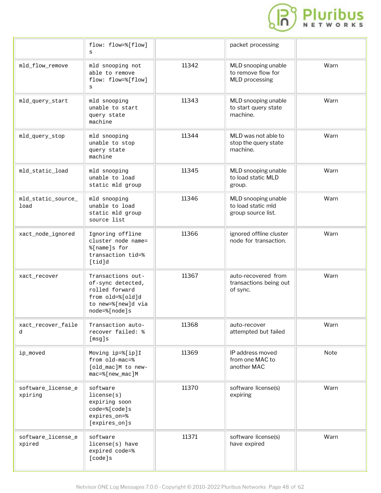

|                               | flow: flow=%[flow]<br>$\mathbf s$                                                                                   |       | packet processing                                               |             |
|-------------------------------|---------------------------------------------------------------------------------------------------------------------|-------|-----------------------------------------------------------------|-------------|
| mld_flow_remove               | mld snooping not<br>able to remove<br>flow: flow=%[flow]<br>S                                                       | 11342 | MLD snooping unable<br>to remove flow for<br>MLD processing     | Warn        |
| mld_query_start               | mld snooping<br>unable to start<br>query state<br>machine                                                           | 11343 | MLD snooping unable<br>to start query state<br>machine.         | Warn        |
| mld_query_stop                | mld snooping<br>unable to stop<br>query state<br>machine                                                            | 11344 | MLD was not able to<br>stop the query state<br>machine.         | Warn        |
| mld_static_load               | mld snooping<br>unable to load<br>static mld group                                                                  | 11345 | MLD snooping unable<br>to load static MLD<br>group.             | Warn        |
| mld_static_source_<br>load    | mld snooping<br>unable to load<br>static mld group<br>source list                                                   | 11346 | MLD snooping unable<br>to load static mld<br>group source list. | Warn        |
| xact_node_ignored             | Ignoring offline<br>cluster node name=<br>% [name ]s for<br>transaction tid=%<br>[tid]d                             | 11366 | ignored offline cluster<br>node for transaction.                | Warn        |
| xact_recover                  | Transactions out-<br>of-sync detected,<br>rolled forward<br>from old=%[old]d<br>to new=%[new]d via<br>node=%[node]s | 11367 | auto-recovered from<br>transactions being out<br>of sync.       | Warn        |
| xact_recover_faile<br>d       | Transaction auto-<br>recover failed: %<br>[msq]s                                                                    | 11368 | auto-recover<br>attempted but failed                            | Warn        |
| ip_moved                      | Moving ip=%[ip]I<br>from old-mac=%<br>[old_mac]M to new-<br>mac=%[new_mac]M                                         | 11369 | IP address moved<br>from one MAC to<br>another MAC              | <b>Note</b> |
| software_license_e<br>xpiring | software<br>license(s)<br>expiring soon<br>code=%[code]s<br>expires_on=%<br>[expires_on]s                           | 11370 | software license(s)<br>expiring                                 | Warn        |
| software_license_e<br>xpired  | software<br>license(s) have<br>expired code=%<br>[code]s                                                            | 11371 | software license(s)<br>have expired                             | Warn        |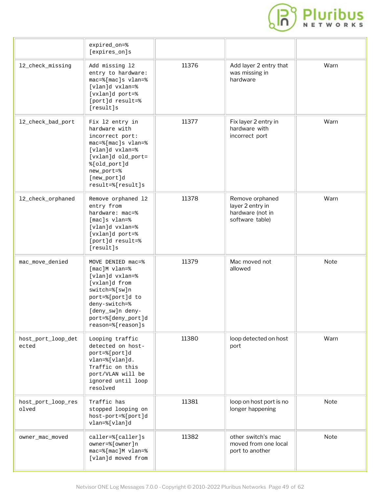

|                             | expired_on=%<br>[expires_on]s                                                                                                                                                                    |       |                                                                            |             |
|-----------------------------|--------------------------------------------------------------------------------------------------------------------------------------------------------------------------------------------------|-------|----------------------------------------------------------------------------|-------------|
| 12_check_missing            | Add missing 12<br>entry to hardware:<br>$mac = \{mac] s$ vlan= $\}$<br>[vlan]d vxlan=%<br>[vxlan]d port=%<br>[port]d result=%<br>[result]s                                                       | 11376 | Add layer 2 entry that<br>was missing in<br>hardware                       | Warn        |
| 12_check_bad_port           | Fix 12 entry in<br>hardware with<br>incorrect port:<br>$mac = \{mac] s$ vlan= $\}$<br>[vlan]d vxlan=%<br>[vxlan]d old_port=<br>%[old_port]d<br>new_port=%<br>[new_port]d<br>result=%[result]s    | 11377 | Fix layer 2 entry in<br>hardware with<br>incorrect port                    | Warn        |
| 12_check_orphaned           | Remove orphaned 12<br>entry from<br>hardware: mac=%<br>$[mac]s$ vlan= $%$<br>[vlan]d vxlan=%<br>[vxlan]d port=%<br>[port]d result=%<br>[result]s                                                 | 11378 | Remove orphaned<br>layer 2 entry in<br>hardware (not in<br>software table) | Warn        |
| mac_move_denied             | MOVE DENIED mac=%<br>[mac]M vlan=%<br>[vlan]d vxlan=%<br>[vxlan]d from<br>$switch=\$ $[sw]n$<br>port=%[port]d to<br>deny-switch=%<br>[deny_sw]n deny-<br>port=%[deny_port]d<br>reason=%[reason]s | 11379 | Mac moved not<br>allowed                                                   | <b>Note</b> |
| host_port_loop_det<br>ected | Looping traffic<br>detected on host-<br>port=%[port]d<br>vlan=%[vlan]d.<br>Traffic on this<br>port/VLAN will be<br>ignored until loop<br>resolved                                                | 11380 | loop detected on host<br>port                                              | Warn        |
| host_port_loop_res<br>olved | Traffic has<br>stopped looping on<br>host-port=%[port]d<br>vlan=%[vlan]d                                                                                                                         | 11381 | loop on host port is no<br>longer happening                                | <b>Note</b> |
| owner_mac_moved             | caller=%[caller]s<br>owner=%[owner]n<br>mac=%[mac]M vlan=%<br>[vlan]d moved from                                                                                                                 | 11382 | other switch's mac<br>moved from one local<br>port to another              | <b>Note</b> |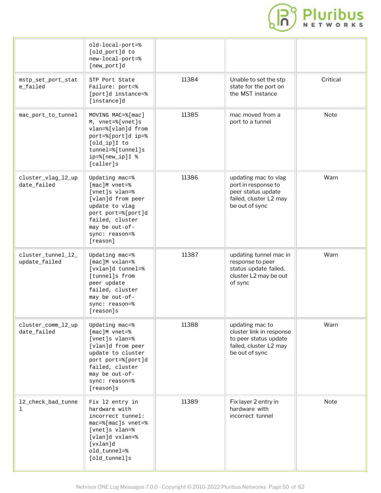

|                                     | old-local-port=%<br>[old_port]d to<br>new-local-port=%<br>[new_port]d                                                                                                                                                     |       |                                                                                                                  |             |
|-------------------------------------|---------------------------------------------------------------------------------------------------------------------------------------------------------------------------------------------------------------------------|-------|------------------------------------------------------------------------------------------------------------------|-------------|
| mstp_set_port_stat<br>e_failed      | STP Port State<br>Failure: port=%<br>[port]d instance=%<br>[instance]d                                                                                                                                                    | 11384 | Unable to set the stp<br>state for the port on<br>the MST instance                                               | Critical    |
| mac_port_to_tunnel                  | MOVING MAC=% [mac]<br>M, vnet=%[vnet]s<br>vlan=%[vlan]d from<br>port=%[port]d ip=%<br>[old_ip]I to<br>$tunnel=\[0, tunnel]$<br>ip=%[new_ip]I %<br>[caller]s                                                               | 11385 | mac moved from a<br>port to a tunnel                                                                             | <b>Note</b> |
| cluster_vlag_12_up<br>date_failed   | Updating mac=%<br>$\lceil \text{mac} \rceil$ M vnet= $\hat{\mathsf{s}}$<br>[vnet]s vlan=%<br>[vlan]d from peer<br>update to vlag<br>port port=%[port]d<br>failed, cluster<br>may be out-of-<br>sync: reason=%<br>[reason] | 11386 | updating mac to vlag<br>port in response to<br>peer status update<br>failed, cluster L2 may<br>be out of sync    | Warn        |
| cluster_tunnel_12_<br>update_failed | Updating mac=%<br>[mac]M vxlan=%<br>[vxlan]d tunnel=%<br>[tunnel]s from<br>peer update<br>failed, cluster<br>may be out-of-<br>sync: reason=%<br>[reason]s                                                                | 11387 | updating tunnel mac in<br>response to peer<br>status update failed,<br>cluster L2 may be out<br>of sync          | Warn        |
| cluster_comm_12_up<br>date_failed   | Updating mac=%<br>[mac]M vnet=%<br>[vnet]s vlan=%<br>[vlan]d from peer<br>update to cluster<br>port port=%[port]d<br>failed, cluster<br>may be out-of-<br>sync: reason=%<br>[reason]s                                     | 11388 | updating mac to<br>cluster link in response<br>to peer status update<br>failed, cluster L2 may<br>be out of sync | Warn        |
| 12_check_bad_tunne<br>ı             | Fix 12 entry in<br>hardware with<br>incorrect tunnel:<br>$mac = \{mac \}$ $x = \frac{1}{6}$<br>[vnet]s vlan=%<br>[vlan]d vxlan=%<br>[vxlan]d<br>old_tunnel=%<br>[old_tunnel]s                                             | 11389 | Fix layer 2 entry in<br>hardware with<br>incorrect tunnel                                                        | Note        |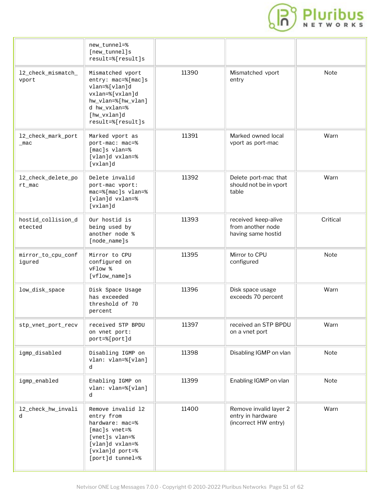

|                               | new_tunnel=%<br>[new_tunnel]s<br>result=%[result]s                                                                                                                   |       |                                                                     |             |
|-------------------------------|----------------------------------------------------------------------------------------------------------------------------------------------------------------------|-------|---------------------------------------------------------------------|-------------|
| 12_check_mismatch_<br>vport   | Mismatched vport<br>$entry: mac={\{ \, \text{mac}\} }$<br>vlan=%[vlan]d<br>vxlan=%[vxlan]d<br>hw_vlan=%[hw_vlan]<br>d hw_vxlan=%<br>[hw_vxlan]d<br>result=%[result]s | 11390 | Mismatched vport<br>entry                                           | <b>Note</b> |
| 12_check_mark_port<br>$\_mac$ | Marked vport as<br>port-mac: mac=%<br>$[mac]s$ vlan= $%$<br>[vlan]d vxlan=%<br>[vxlan]d                                                                              | 11391 | Marked owned local<br>vport as port-mac                             | Warn        |
| 12_check_delete_po<br>rt_mac  | Delete invalid<br>port-mac vport:<br>$mac = \{mac s$ vlan= $\}$<br>[vlan]d vxlan=%<br>[vxlan]d                                                                       | 11392 | Delete port-mac that<br>should not be in vport<br>table             | Warn        |
| hostid_collision_d<br>etected | Our hostid is<br>being used by<br>another node %<br>[node_name]s                                                                                                     | 11393 | received keep-alive<br>from another node<br>having same hostid      | Critical    |
| mirror_to_cpu_conf<br>igured  | Mirror to CPU<br>configured on<br>vFlow %<br>$[vllow_name]s$                                                                                                         | 11395 | Mirror to CPU<br>configured                                         | Note        |
| low_disk_space                | Disk Space Usage<br>has exceeded<br>threshold of 70<br>percent                                                                                                       | 11396 | Disk space usage<br>exceeds 70 percent                              | Warn        |
| stp_vnet_port_recv            | received STP BPDU<br>on vnet port:<br>port=%[port]d                                                                                                                  | 11397 | received an STP BPDU<br>on a vnet port                              | Warn        |
| igmp_disabled                 | Disabling IGMP on<br>vlan: vlan=%[vlan]<br>d                                                                                                                         | 11398 | Disabling IGMP on vlan                                              | Note        |
| igmp_enabled                  | Enabling IGMP on<br>vlan: vlan=%[vlan]<br>d                                                                                                                          | 11399 | Enabling IGMP on vlan                                               | <b>Note</b> |
| 12_check_hw_invali<br>d       | Remove invalid 12<br>entry from<br>hardware: mac=%<br>$[mac]s$ vnet= $%$<br>[vnet]s vlan=%<br>[vlan]d vxlan=%<br>[vxlan]d port=%<br>[port]d tunnel=%                 | 11400 | Remove invalid layer 2<br>entry in hardware<br>(incorrect HW entry) | Warn        |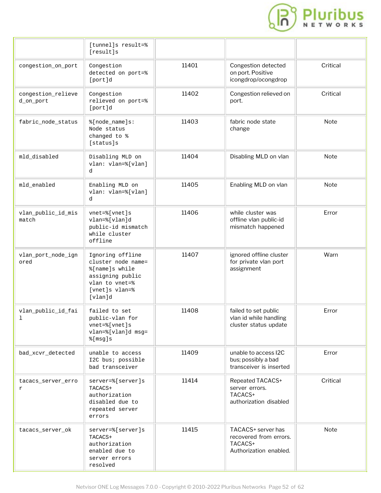

|                                 | [tunnel]s result=%<br>[result]s                                                                                             |       |                                                                                   |             |
|---------------------------------|-----------------------------------------------------------------------------------------------------------------------------|-------|-----------------------------------------------------------------------------------|-------------|
| congestion_on_port              | Congestion<br>detected on port=%<br>[port]d                                                                                 | 11401 | Congestion detected<br>on port. Positive<br>icongdrop/ocongdrop                   | Critical    |
| congestion_relieve<br>d_on_port | Congestion<br>relieved on port=%<br>[port]d                                                                                 | 11402 | Congestion relieved on<br>port.                                                   | Critical    |
| fabric_node_status              | %[node_name]s:<br>Node status<br>changed to %<br>[status]s                                                                  | 11403 | fabric node state<br>change                                                       | <b>Note</b> |
| mld_disabled                    | Disabling MLD on<br>vlan: vlan=%[vlan]<br>d                                                                                 | 11404 | Disabling MLD on vlan                                                             | <b>Note</b> |
| mld_enabled                     | Enabling MLD on<br>vlan: vlan=%[vlan]<br>d                                                                                  | 11405 | Enabling MLD on vlan                                                              | <b>Note</b> |
| vlan_public_id_mis<br>match     | $vnet = \frac{1}{6} [vnet]$<br>vlan=%[vlan]d<br>public-id mismatch<br>while cluster<br>offline                              | 11406 | while cluster was<br>offline vlan public-id<br>mismatch happened                  | Error       |
| vlan_port_node_ign<br>ored      | Ignoring offline<br>cluster node name=<br>%[name]s while<br>assigning public<br>vlan to vnet=%<br>[vnet]s vlan=%<br>[vlan]d | 11407 | ignored offline cluster<br>for private vlan port<br>assignment                    | Warn        |
| vlan_public_id_fai<br>T         | failed to set<br>public-vlan for<br>vnet=%[vnet]s<br>vlan=%[vlan]d msg=<br>$\frac{1}{2}$ [msq]s                             | 11408 | failed to set public<br>vlan id while handling<br>cluster status update           | Error       |
| bad_xcvr_detected               | unable to access<br>I2C bus; possible<br>bad transceiver                                                                    | 11409 | unable to access I2C<br>bus; possibly a bad<br>transceiver is inserted            | Error       |
| tacacs_server_erro<br>r         | server=%[server]s<br>TACACS+<br>authorization<br>disabled due to<br>repeated server<br>errors                               | 11414 | Repeated TACACS+<br>server errors.<br>TACACS+<br>authorization disabled           | Critical    |
| tacacs_server_ok                | server=%[server]s<br>TACACS+<br>authorization<br>enabled due to<br>server errors<br>resolved                                | 11415 | TACACS+ server has<br>recovered from errors.<br>TACACS+<br>Authorization enabled. | Note        |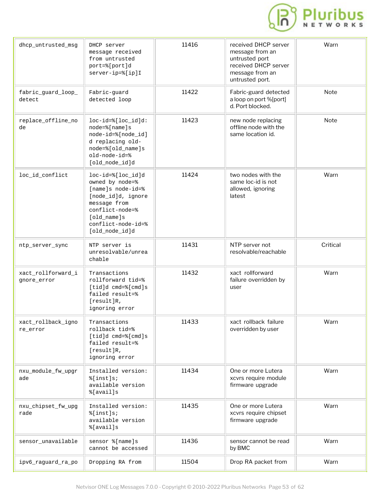

| dhcp_untrusted_msg                | DHCP server<br>message received<br>from untrusted<br>port=%[port]d<br>$server-ip=\{ip\}$                                                                                  | 11416 | received DHCP server<br>message from an<br>untrusted port<br>received DHCP server<br>message from an<br>untrusted port. | Warn        |
|-----------------------------------|---------------------------------------------------------------------------------------------------------------------------------------------------------------------------|-------|-------------------------------------------------------------------------------------------------------------------------|-------------|
| fabric_guard_loop_<br>detect      | Fabric-guard<br>detected loop                                                                                                                                             | 11422 | Fabric-guard detected<br>a loop on port %[port]<br>d. Port blocked.                                                     | <b>Note</b> |
| replace_offline_no<br>de          | $loc-id=\{[loc_id]d\colon$<br>$node = \{[name]s$<br>node-id=%[node_id]<br>d replacing old-<br>node=%[old_name]s<br>old-node-id=%<br>[old_node_id]d                        | 11423 | new node replacing<br>offline node with the<br>same location id.                                                        | <b>Note</b> |
| loc_id_conflict                   | loc-id=%[loc_id]d<br>owned by node=%<br>Inamels node-id=%<br>[node_id]d, ignore<br>message from<br>conflict-node=%<br>[old_name]s<br>conflict-node-id=%<br>[old_node_id]d | 11424 | two nodes with the<br>same loc-id is not<br>allowed, ignoring<br>latest                                                 | Warn        |
| ntp_server_sync                   | NTP server is<br>unresolvable/unrea<br>chable                                                                                                                             | 11431 | NTP server not<br>resolvable/reachable                                                                                  | Critical    |
| xact_rollforward_i<br>gnore_error | Transactions<br>rollforward tid=%<br>$[tid]d$ cmd= $ [cmd]s$<br>failed result=%<br>[result]R,<br>ignoring error                                                           | 11432 | xact rollforward<br>failure overridden by<br>user                                                                       | Warn        |
| xact_rollback_igno<br>re_error    | Transactions<br>rollback tid=%<br>[tid]d cmd=%[cmd]s<br>failed result=%<br>[result]R,<br>ignoring error                                                                   | 11433 | xact rollback failure<br>overridden by user                                                                             | Warn        |
| nxu_module_fw_upgr<br>ade         | Installed version:<br>$\gamma$ [inst]s;<br>available version<br>%[avail]s                                                                                                 | 11434 | One or more Lutera<br>xcvrs require module<br>firmware upgrade                                                          | Warn        |
| nxu_chipset_fw_upg<br>rade        | Installed version:<br>%[inst]s;<br>available version<br>%[avail]s                                                                                                         | 11435 | One or more Lutera<br>xcvrs require chipset<br>firmware upgrade                                                         | Warn        |
| sensor_unavailable                | $sensor$ $\{name]s$<br>cannot be accessed                                                                                                                                 | 11436 | sensor cannot be read<br>by BMC                                                                                         | Warn        |
| ipv6_raguard_ra_po                | Dropping RA from                                                                                                                                                          | 11504 | Drop RA packet from                                                                                                     | Warn        |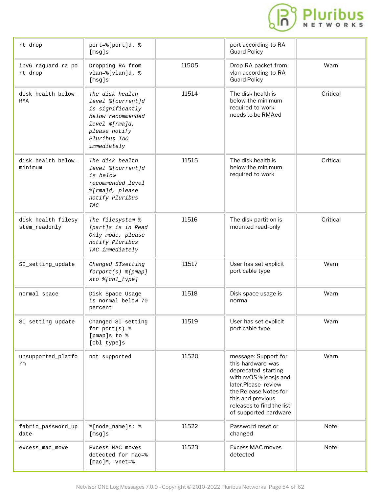

| rt_drop                             | port=%[port]d. %<br>[msg]s                                                                                                                            |       | port according to RA<br><b>Guard Policy</b>                                                                                                                                                                          |          |
|-------------------------------------|-------------------------------------------------------------------------------------------------------------------------------------------------------|-------|----------------------------------------------------------------------------------------------------------------------------------------------------------------------------------------------------------------------|----------|
| ipv6_raguard_ra_po<br>rt_drop       | Dropping RA from<br>vlan=%[vlan]d. %<br>[msg]s                                                                                                        | 11505 | Drop RA packet from<br>vlan according to RA<br><b>Guard Policy</b>                                                                                                                                                   | Warn     |
| disk_health_below_<br><b>RMA</b>    | The disk health<br>level %[current]d<br>is significantly<br>below recommended<br>$level$ ${[rma]}d$ ,<br>please notify<br>Pluribus TAC<br>immediately | 11514 | The disk health is<br>below the minimum<br>required to work<br>needs to be RMAed                                                                                                                                     | Critical |
| disk_health_below_<br>minimum       | The disk health<br>level %[current]d<br>is below<br>recommended level<br>%[rma]d, please<br>notify Pluribus<br><b>TAC</b>                             | 11515 | The disk health is<br>below the minimum<br>required to work                                                                                                                                                          | Critical |
| disk_health_filesy<br>stem_readonly | The filesystem %<br>[part]s is in Read<br>Only mode, please<br>notify Pluribus<br>TAC immediately                                                     | 11516 | The disk partition is<br>mounted read-only                                                                                                                                                                           | Critical |
| SI_setting_update                   | Changed SIsetting<br>forport(s) %[pmap]<br>sto %[cbl_type]                                                                                            | 11517 | User has set explicit<br>port cable type                                                                                                                                                                             | Warn     |
| normal_space                        | Disk Space Usage<br>is normal below 70<br>percent                                                                                                     | 11518 | Disk space usage is<br>normal                                                                                                                                                                                        | Warn     |
| SI_setting_update                   | Changed SI setting<br>for $port(s)$ %<br>[pmap]s to %<br>[cbl_type]s                                                                                  | 11519 | User has set explicit<br>port cable type                                                                                                                                                                             | Warn     |
| unsupported_platfo<br>rm            | not supported                                                                                                                                         | 11520 | message: Support for<br>this hardware was<br>deprecated starting<br>with nvOS %[eos]s and<br>later.Please review<br>the Release Notes for<br>this and previous<br>releases to find the list<br>of supported hardware | Warn     |
| fabric_password_up<br>date          | %[node_name]s: %<br>[msg]s                                                                                                                            | 11522 | Password reset or<br>changed                                                                                                                                                                                         | Note     |
| excess_mac_move                     | Excess MAC moves<br>detected for mac=%<br>$[mac]M,$ vnet=%                                                                                            | 11523 | <b>Excess MAC moves</b><br>detected                                                                                                                                                                                  | Note     |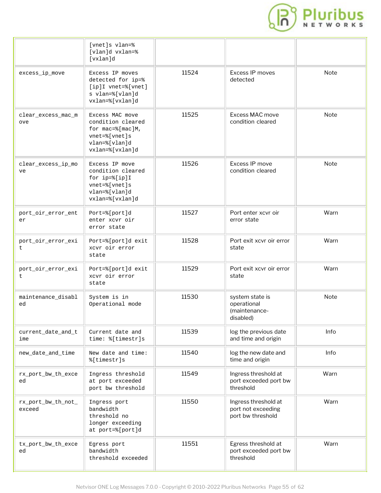

|                              | [vnet]s vlan=%<br>[vlan]d vxlan=%<br>[vxlan]d                                                                                    |       |                                                                 |             |
|------------------------------|----------------------------------------------------------------------------------------------------------------------------------|-------|-----------------------------------------------------------------|-------------|
| excess_ip_move               | Excess IP moves<br>detected for ip=%<br>[ip]I vnet=%[vnet]<br>s vlan=%[vlan]d<br>vxlan=%[vxlan]d                                 | 11524 | Excess IP moves<br>detected                                     | <b>Note</b> |
| clear_excess_mac_m<br>ove    | Excess MAC move<br>condition cleared<br>for $mac = \{mac]M$ ,<br>$vnet = \frac{1}{6} [vnet]$<br>vlan=%[vlan]d<br>vxlan=%[vxlan]d | 11525 | <b>Excess MAC move</b><br>condition cleared                     | <b>Note</b> |
| clear_excess_ip_mo<br>ve     | Excess IP move<br>condition cleared<br>for $ip=\n\{ip\}I$<br>$vnet = \frac{1}{6} [vnet]$<br>vlan=%[vlan]d<br>vxlan=%[vxlan]d     | 11526 | Excess IP move<br>condition cleared                             | Note        |
| port_oir_error_ent<br>er     | Port=%[port]d<br>enter xcvr oir<br>error state                                                                                   | 11527 | Port enter xcvr oir<br>error state                              | Warn        |
| port_oir_error_exi<br>t      | Port=%[port]d exit<br>xcvr oir error<br>state                                                                                    | 11528 | Port exit xcvr oir error<br>state                               | Warn        |
| port_oir_error_exi<br>t      | Port=%[port]d exit<br>xcvr oir error<br>state                                                                                    | 11529 | Port exit xcvr oir error<br>state                               | Warn        |
| maintenance_disabl<br>ed     | System is in<br>Operational mode                                                                                                 | 11530 | system state is<br>operational<br>(maintenance-<br>disabled)    | <b>Note</b> |
| current_date_and_t<br>ime    | Current date and<br>time: %[timestr]s                                                                                            | 11539 | log the previous date<br>and time and origin                    | Info        |
| new_date_and_time            | New date and time:<br>%[timestr]s                                                                                                | 11540 | log the new date and<br>time and origin                         | Info        |
| rx_port_bw_th_exce<br>ed     | Ingress threshold<br>at port exceeded<br>port bw threshold                                                                       | 11549 | Ingress threshold at<br>port exceeded port bw<br>threshold      | Warn        |
| rx_port_bw_th_not_<br>exceed | Ingress port<br>bandwidth<br>threshold no<br>longer exceeding<br>at port=%[port]d                                                | 11550 | Ingress threshold at<br>port not exceeding<br>port bw threshold | Warn        |
| tx_port_bw_th_exce<br>ed     | Egress port<br>bandwidth<br>threshold exceeded                                                                                   | 11551 | Egress threshold at<br>port exceeded port bw<br>threshold       | Warn        |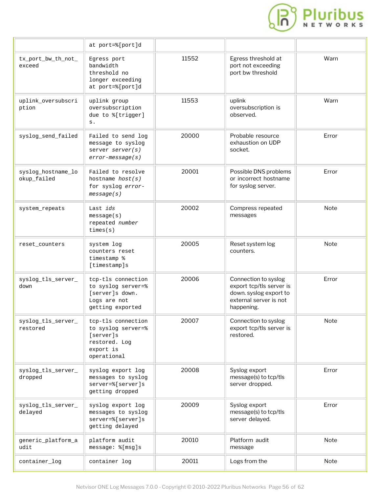

|                                   | at port=%[port]d                                                                                   |       |                                                                                                                    |             |
|-----------------------------------|----------------------------------------------------------------------------------------------------|-------|--------------------------------------------------------------------------------------------------------------------|-------------|
| tx_port_bw_th_not_<br>exceed      | Egress port<br>bandwidth<br>threshold no<br>longer exceeding<br>at port=%[port]d                   | 11552 | Egress threshold at<br>port not exceeding<br>port bw threshold                                                     | Warn        |
| uplink_oversubscri<br>ption       | uplink group<br>oversubscription<br>due to %[trigger]<br>$s$ .                                     | 11553 | uplink<br>oversubscription is<br>observed.                                                                         | Warn        |
| syslog_send_failed                | Failed to send log<br>message to syslog<br>$server$ server(s)<br>$error-message(s)$                | 20000 | Probable resource<br>exhaustion on UDP<br>socket.                                                                  | Error       |
| syslog_hostname_lo<br>okup_failed | Failed to resolve<br>hostname $host(s)$<br>for syslog error-<br>message(s)                         | 20001 | Possible DNS problems<br>or incorrect hostname<br>for syslog server.                                               | Error       |
| system_repeats                    | Last <i>ids</i><br>message(s)<br>repeated number<br>times(s)                                       | 20002 | Compress repeated<br>messages                                                                                      | <b>Note</b> |
| reset_counters                    | system log<br>counters reset<br>timestamp %<br>[timestamp]s                                        | 20005 | Reset system log<br>counters.                                                                                      | Note        |
| syslog_tls_server_<br>down        | tcp-tls connection<br>to syslog server=%<br>[server]s down.<br>Logs are not<br>getting exported    | 20006 | Connection to syslog<br>export tcp/tls server is<br>down. syslog export to<br>external server is not<br>happening. | Error       |
| syslog_tls_server_<br>restored    | tcp-tls connection<br>to syslog server=%<br>[server]s<br>restored. Log<br>export is<br>operational | 20007 | Connection to syslog<br>export tcp/tls server is<br>restored.                                                      | Note        |
| syslog_tls_server_<br>dropped     | syslog export log<br>messages to syslog<br>server=%[server]s<br>getting dropped                    | 20008 | Syslog export<br>message(s) to tcp/tls<br>server dropped.                                                          | Error       |
| syslog_tls_server_<br>delayed     | syslog export log<br>messages to syslog<br>server=%[server]s<br>getting delayed                    | 20009 | Syslog export<br>message(s) to tcp/tls<br>server delayed.                                                          | Error       |
| generic_platform_a<br>udit        | platform audit<br>$message:$ $% [msg]s$                                                            | 20010 | Platform audit<br>message                                                                                          | Note        |
| container_log                     | container log                                                                                      | 20011 | Logs from the                                                                                                      | Note        |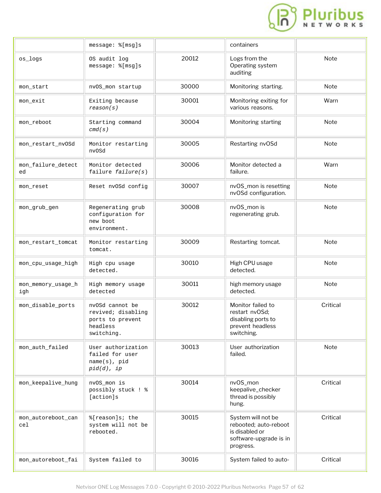

|                           | $message:$ $%  msg s$                                                               |       | containers                                                                                           |             |
|---------------------------|-------------------------------------------------------------------------------------|-------|------------------------------------------------------------------------------------------------------|-------------|
| os_logs                   | OS audit log<br>$message:$ $% [msg]s$                                               | 20012 | Logs from the<br>Operating system<br>auditing                                                        | <b>Note</b> |
| mon_start                 | nvOS_mon startup                                                                    | 30000 | Monitoring starting.                                                                                 | <b>Note</b> |
| mon_exit                  | Exiting because<br>reason(s)                                                        | 30001 | Monitoring exiting for<br>various reasons.                                                           | Warn        |
| mon_reboot                | Starting command<br>cmd(s)                                                          | 30004 | Monitoring starting                                                                                  | Note        |
| mon_restart_nvOSd         | Monitor restarting<br>nvOSd                                                         | 30005 | Restarting nvOSd                                                                                     | Note        |
| mon_failure_detect<br>ed  | Monitor detected<br>failure $failure(s)$                                            | 30006 | Monitor detected a<br>failure.                                                                       | Warn        |
| mon_reset                 | Reset nvOSd config                                                                  | 30007 | nvOS_mon is resetting<br>nvOSd configuration.                                                        | <b>Note</b> |
| mon_grub_gen              | Regenerating grub<br>configuration for<br>new boot<br>environment.                  | 30008 | nvOS_mon is<br>regenerating grub.                                                                    | <b>Note</b> |
| mon_restart_tomcat        | Monitor restarting<br>tomcat.                                                       | 30009 | Restarting tomcat.                                                                                   | Note        |
| mon_cpu_usage_high        | High cpu usage<br>detected.                                                         | 30010 | High CPU usage<br>detected.                                                                          | Note        |
| mon memory_usage_h<br>igh | High memory usage<br>detected                                                       | 30011 | high memory usage<br>detected.                                                                       | <b>Note</b> |
| mon_disable_ports         | nvOSd cannot be<br>revived; disabling<br>ports to prevent<br>headless<br>switching. | 30012 | Monitor failed to<br>restart nvOSd;<br>disabling ports to<br>prevent headless<br>switching.          | Critical    |
| mon_auth_failed           | User authorization<br>failed for user<br>$name(s)$ , $pid$<br>$pid(d)$ , ip         | 30013 | User authorization<br>failed.                                                                        | <b>Note</b> |
| mon_keepalive_hung        | nvOS_mon_is<br>possibly stuck ! %<br>[action]s                                      | 30014 | nvOS_mon<br>keepalive_checker<br>thread is possibly<br>hung.                                         | Critical    |
| mon_autoreboot_can<br>cel | %[reason]s; the<br>system will not be<br>rebooted.                                  | 30015 | System will not be<br>rebooted; auto-reboot<br>is disabled or<br>software-upgrade is in<br>progress. | Critical    |
| mon_autoreboot_fai        | System failed to                                                                    | 30016 | System failed to auto-                                                                               | Critical    |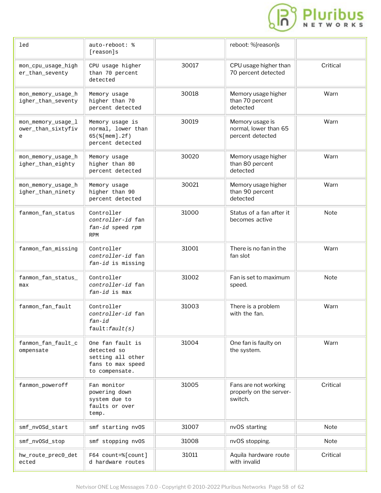

| led                                           | auto-reboot: %<br>[reason]s                                                                 |       | reboot: %[reason]s                                           |             |
|-----------------------------------------------|---------------------------------------------------------------------------------------------|-------|--------------------------------------------------------------|-------------|
| mon_cpu_usage_high<br>er_than_seventy         | CPU usage higher<br>than 70 percent<br>detected                                             | 30017 | CPU usage higher than<br>70 percent detected                 | Critical    |
| mon_memory_usage_h<br>igher_than_seventy      | Memory usage<br>higher than 70<br>percent detected                                          | 30018 | Memory usage higher<br>than 70 percent<br>detected           | Warn        |
| mon_memory_usage_l<br>ower_than_sixtyfiv<br>e | Memory usage is<br>normal, lower than<br>65(%[mem].2f)<br>percent detected                  | 30019 | Memory usage is<br>normal, lower than 65<br>percent detected | Warn        |
| mon_memory_usage_h<br>igher_than_eighty       | Memory usage<br>higher than 80<br>percent detected                                          | 30020 | Memory usage higher<br>than 80 percent<br>detected           | Warn        |
| mon_memory_usage_h<br>igher_than_ninety       | Memory usage<br>higher than 90<br>percent detected                                          | 30021 | Memory usage higher<br>than 90 percent<br>detected           | Warn        |
| fanmon_fan_status                             | Controller<br>controller-id fan<br>fan-id speed rpm<br><b>RPM</b>                           | 31000 | Status of a fan after it<br>becomes active                   | <b>Note</b> |
| fanmon_fan_missing                            | Controller<br>controller-id fan<br>fan-id is missing                                        | 31001 | There is no fan in the<br>fan slot                           | Warn        |
| fanmon_fan_status_<br>max                     | Controller<br>controller-id fan<br>fan-id is max                                            | 31002 | Fan is set to maximum<br>speed.                              | <b>Note</b> |
| fanmon_fan_fault                              | Controller<br>controller-id fan<br>fan-id<br>fault: fault(s)                                | 31003 | There is a problem<br>with the fan.                          | Warn        |
| fanmon_fan_fault_c<br>ompensate               | One fan fault is<br>detected so<br>setting all other<br>fans to max speed<br>to compensate. | 31004 | One fan is faulty on<br>the system.                          | Warn        |
| fanmon_poweroff                               | Fan monitor<br>powering down<br>system due to<br>faults or over<br>temp.                    | 31005 | Fans are not working<br>properly on the server-<br>switch.   | Critical    |
| smf_nvOSd_start                               | smf starting nvOS                                                                           | 31007 | nvOS starting                                                | <b>Note</b> |
| smf_nvOSd_stop                                | smf stopping nvOS                                                                           | 31008 | nvOS stopping.                                               | Note        |
| hw_route_prec0_det<br>ected                   | F64 count=%[count]<br>d hardware routes                                                     | 31011 | Aquila hardware route<br>with invalid                        | Critical    |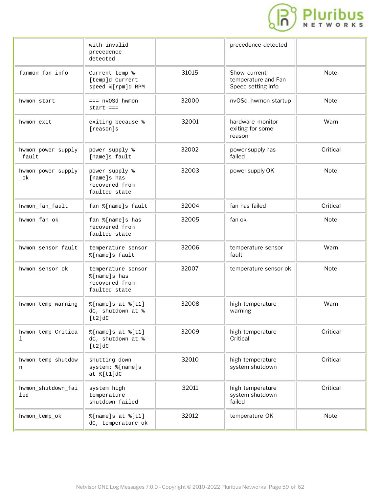

|                                    | with invalid<br>precedence<br>detected                                |       | precedence detected                                       |             |
|------------------------------------|-----------------------------------------------------------------------|-------|-----------------------------------------------------------|-------------|
| fanmon_fan_info                    | Current temp %<br>[temp]d Current<br>speed %[rpm]d RPM                | 31015 | Show current<br>temperature and Fan<br>Speed setting info | <b>Note</b> |
| hwmon_start                        | === nvOSd_hwmon<br>$start ==$                                         | 32000 | nvOSd_hwmon startup                                       | <b>Note</b> |
| hwmon_exit                         | exiting because %<br>[reason]s                                        | 32001 | hardware monitor<br>exiting for some<br>reason            | Warn        |
| hwmon_power_supply<br>_fault       | power supply %<br>[name]s fault                                       | 32002 | power supply has<br>failed                                | Critical    |
| hwmon_power_supply<br>$\mathsf{R}$ | power supply %<br>[name]s has<br>recovered from<br>faulted state      | 32003 | power supply OK                                           | <b>Note</b> |
| hwmon_fan_fault                    | fan %[name]s fault                                                    | 32004 | fan has failed                                            | Critical    |
| hwmon_fan_ok                       | fan $\gamma$ [name]s has<br>recovered from<br>faulted state           | 32005 | fan ok                                                    | Note        |
| hwmon_sensor_fault                 | temperature sensor<br>%[name]s fault                                  | 32006 | temperature sensor<br>fault                               | Warn        |
| hwmon_sensor_ok                    | temperature sensor<br>%[name]s has<br>recovered from<br>faulted state | 32007 | temperature sensor ok                                     | <b>Note</b> |
| hwmon_temp_warning                 | $[\text{name}]$ s at $[\text{tl}]$<br>dC, shutdown at %<br>[t2]dC     | 32008 | high temperature<br>warning                               | Warn        |
| hwmon_temp_Critica<br>1            | %[name]s at %[t1]<br>dC, shutdown at %<br>[t2]dC                      | 32009 | high temperature<br>Critical                              | Critical    |
| hwmon_temp_shutdow<br>n            | shutting down<br>system: %[name]s<br>at %[t1]dC                       | 32010 | high temperature<br>system shutdown                       | Critical    |
| hwmon_shutdown_fai<br>led          | system high<br>temperature<br>shutdown failed                         | 32011 | high temperature<br>system shutdown<br>failed             | Critical    |
| hwmon_temp_ok                      | %[name]s at %[t1]<br>dC, temperature ok                               | 32012 | temperature OK                                            | Note        |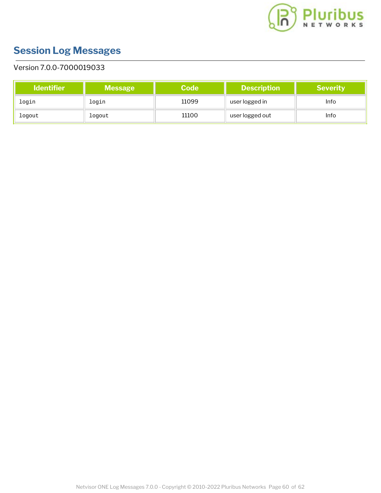

# <span id="page-59-0"></span>**Session Log Messages**

| <b>Identifier</b> | <b>Message</b> | <b>Code</b> | <b>Description</b> | ∣Severity <sup>∣</sup> |
|-------------------|----------------|-------------|--------------------|------------------------|
| login             | login          | 11099       | user logged in     | Info                   |
| logout            | loqout         | 11100       | user logged out    | Info                   |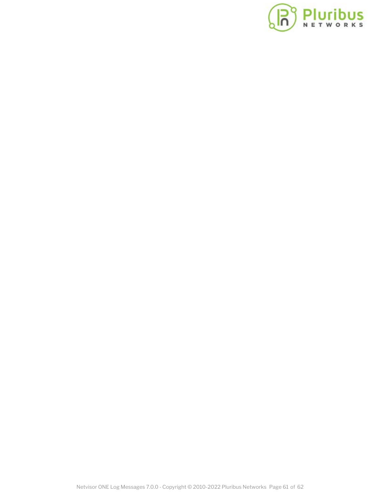